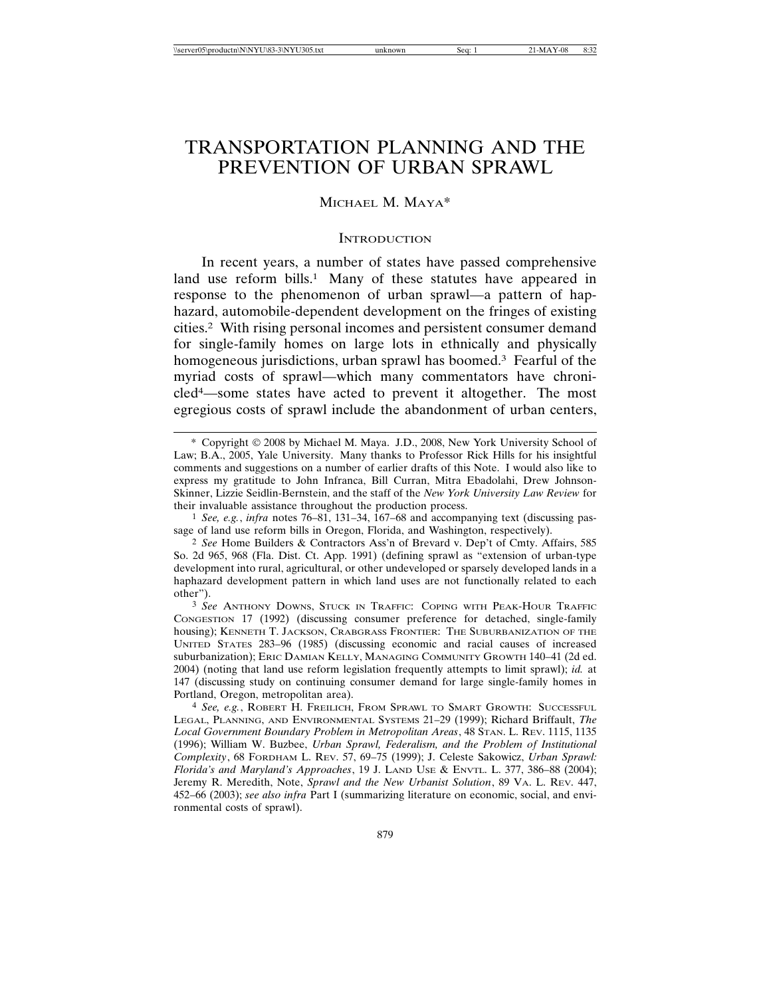# TRANSPORTATION PLANNING AND THE PREVENTION OF URBAN SPRAWL

# MICHAEL M. MAYA\*

#### **INTRODUCTION**

In recent years, a number of states have passed comprehensive land use reform bills.<sup>1</sup> Many of these statutes have appeared in response to the phenomenon of urban sprawl—a pattern of haphazard, automobile-dependent development on the fringes of existing cities.2 With rising personal incomes and persistent consumer demand for single-family homes on large lots in ethnically and physically homogeneous jurisdictions, urban sprawl has boomed.<sup>3</sup> Fearful of the myriad costs of sprawl—which many commentators have chronicled4—some states have acted to prevent it altogether. The most egregious costs of sprawl include the abandonment of urban centers,

1 *See, e.g.*, *infra* notes 76–81, 131–34, 167–68 and accompanying text (discussing passage of land use reform bills in Oregon, Florida, and Washington, respectively).

<sup>\*</sup> Copyright 2008 by Michael M. Maya. J.D., 2008, New York University School of Law; B.A., 2005, Yale University. Many thanks to Professor Rick Hills for his insightful comments and suggestions on a number of earlier drafts of this Note. I would also like to express my gratitude to John Infranca, Bill Curran, Mitra Ebadolahi, Drew Johnson-Skinner, Lizzie Seidlin-Bernstein, and the staff of the *New York University Law Review* for their invaluable assistance throughout the production process.

<sup>2</sup> *See* Home Builders & Contractors Ass'n of Brevard v. Dep't of Cmty. Affairs, 585 So. 2d 965, 968 (Fla. Dist. Ct. App. 1991) (defining sprawl as "extension of urban-type development into rural, agricultural, or other undeveloped or sparsely developed lands in a haphazard development pattern in which land uses are not functionally related to each other").

<sup>3</sup> *See* ANTHONY DOWNS, STUCK IN TRAFFIC: COPING WITH PEAK-HOUR TRAFFIC CONGESTION 17 (1992) (discussing consumer preference for detached, single-family housing); KENNETH T. JACKSON, CRABGRASS FRONTIER: THE SUBURBANIZATION OF THE UNITED STATES 283–96 (1985) (discussing economic and racial causes of increased suburbanization); ERIC DAMIAN KELLY, MANAGING COMMUNITY GROWTH 140–41 (2d ed. 2004) (noting that land use reform legislation frequently attempts to limit sprawl); *id.* at 147 (discussing study on continuing consumer demand for large single-family homes in Portland, Oregon, metropolitan area).

<sup>4</sup> *See, e.g.*, ROBERT H. FREILICH, FROM SPRAWL TO SMART GROWTH: SUCCESSFUL LEGAL, PLANNING, AND ENVIRONMENTAL SYSTEMS 21–29 (1999); Richard Briffault, *The Local Government Boundary Problem in Metropolitan Areas*, 48 STAN. L. REV. 1115, 1135 (1996); William W. Buzbee, *Urban Sprawl, Federalism, and the Problem of Institutional Complexity*, 68 FORDHAM L. REV. 57, 69–75 (1999); J. Celeste Sakowicz, *Urban Sprawl: Florida's and Maryland's Approaches*, 19 J. LAND USE & ENVTL. L. 377, 386–88 (2004); Jeremy R. Meredith, Note, *Sprawl and the New Urbanist Solution*, 89 VA. L. REV. 447, 452–66 (2003); *see also infra* Part I (summarizing literature on economic, social, and environmental costs of sprawl).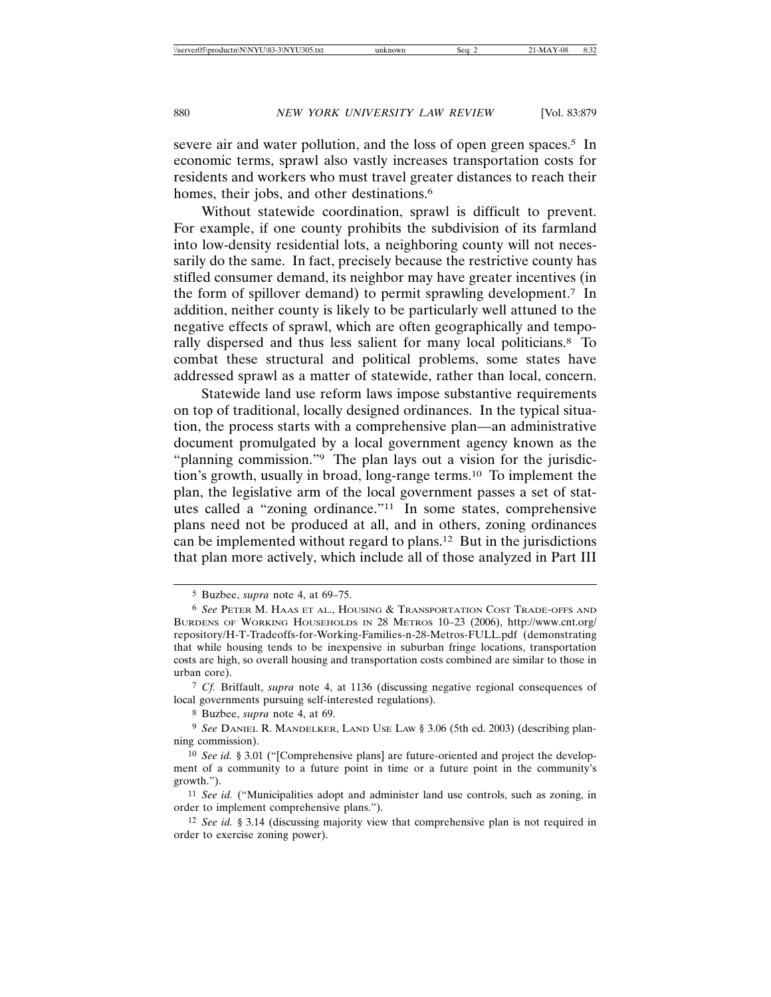severe air and water pollution, and the loss of open green spaces.<sup>5</sup> In economic terms, sprawl also vastly increases transportation costs for residents and workers who must travel greater distances to reach their homes, their jobs, and other destinations.<sup>6</sup>

Without statewide coordination, sprawl is difficult to prevent. For example, if one county prohibits the subdivision of its farmland into low-density residential lots, a neighboring county will not necessarily do the same. In fact, precisely because the restrictive county has stifled consumer demand, its neighbor may have greater incentives (in the form of spillover demand) to permit sprawling development.7 In addition, neither county is likely to be particularly well attuned to the negative effects of sprawl, which are often geographically and temporally dispersed and thus less salient for many local politicians.8 To combat these structural and political problems, some states have addressed sprawl as a matter of statewide, rather than local, concern.

Statewide land use reform laws impose substantive requirements on top of traditional, locally designed ordinances. In the typical situation, the process starts with a comprehensive plan—an administrative document promulgated by a local government agency known as the "planning commission."<sup>9</sup> The plan lays out a vision for the jurisdiction's growth, usually in broad, long-range terms.10 To implement the plan, the legislative arm of the local government passes a set of statutes called a "zoning ordinance."11 In some states, comprehensive plans need not be produced at all, and in others, zoning ordinances can be implemented without regard to plans.12 But in the jurisdictions that plan more actively, which include all of those analyzed in Part III

<sup>5</sup> Buzbee, *supra* note 4, at 69–75.

<sup>6</sup> *See* PETER M. HAAS ET AL., HOUSING & TRANSPORTATION COST TRADE-OFFS AND BURDENS OF WORKING HOUSEHOLDS IN 28 METROS 10–23 (2006), http://www.cnt.org/ repository/H-T-Tradeoffs-for-Working-Families-n-28-Metros-FULL.pdf (demonstrating that while housing tends to be inexpensive in suburban fringe locations, transportation costs are high, so overall housing and transportation costs combined are similar to those in urban core).

<sup>7</sup> *Cf.* Briffault, *supra* note 4, at 1136 (discussing negative regional consequences of local governments pursuing self-interested regulations).

<sup>8</sup> Buzbee, *supra* note 4, at 69.

<sup>9</sup> *See* DANIEL R. MANDELKER, LAND USE LAW § 3.06 (5th ed. 2003) (describing planning commission).

<sup>10</sup> *See id.* § 3.01 ("[Comprehensive plans] are future-oriented and project the development of a community to a future point in time or a future point in the community's growth.").

<sup>11</sup> *See id.* ("Municipalities adopt and administer land use controls, such as zoning, in order to implement comprehensive plans.").

<sup>12</sup> *See id.* § 3.14 (discussing majority view that comprehensive plan is not required in order to exercise zoning power).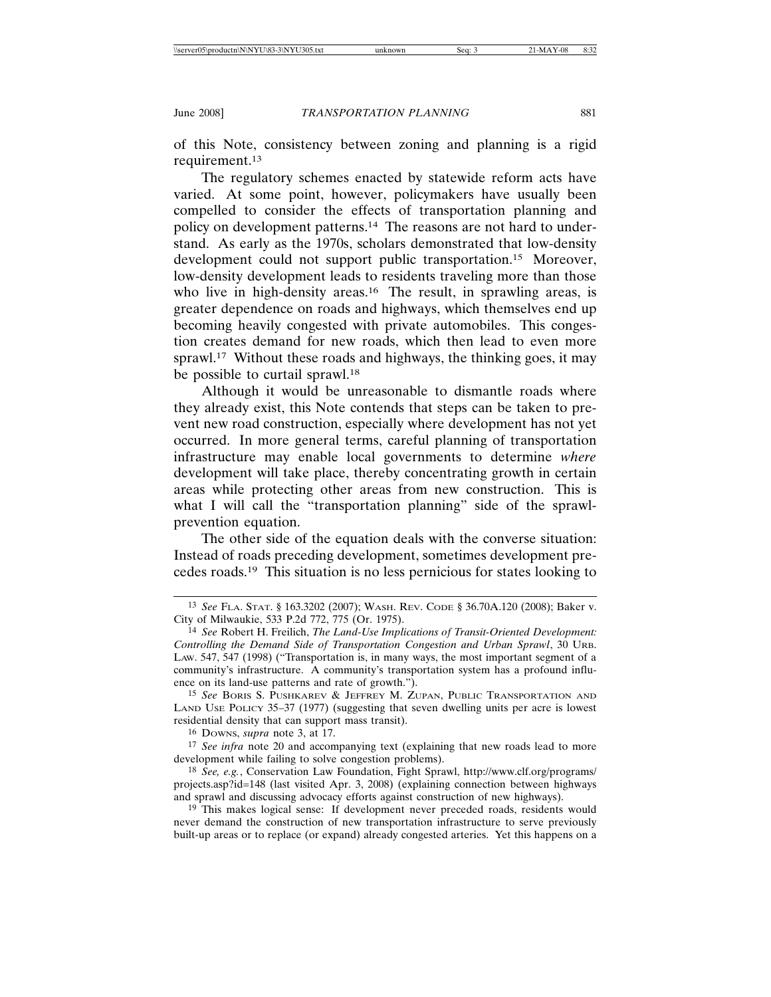of this Note, consistency between zoning and planning is a rigid requirement.13

The regulatory schemes enacted by statewide reform acts have varied. At some point, however, policymakers have usually been compelled to consider the effects of transportation planning and policy on development patterns.14 The reasons are not hard to understand. As early as the 1970s, scholars demonstrated that low-density development could not support public transportation.15 Moreover, low-density development leads to residents traveling more than those who live in high-density areas.<sup>16</sup> The result, in sprawling areas, is greater dependence on roads and highways, which themselves end up becoming heavily congested with private automobiles. This congestion creates demand for new roads, which then lead to even more sprawl.17 Without these roads and highways, the thinking goes, it may be possible to curtail sprawl.<sup>18</sup>

Although it would be unreasonable to dismantle roads where they already exist, this Note contends that steps can be taken to prevent new road construction, especially where development has not yet occurred. In more general terms, careful planning of transportation infrastructure may enable local governments to determine *where* development will take place, thereby concentrating growth in certain areas while protecting other areas from new construction. This is what I will call the "transportation planning" side of the sprawlprevention equation.

The other side of the equation deals with the converse situation: Instead of roads preceding development, sometimes development precedes roads.19 This situation is no less pernicious for states looking to

16 DOWNS, *supra* note 3, at 17.

17 *See infra* note 20 and accompanying text (explaining that new roads lead to more development while failing to solve congestion problems).

18 *See, e.g.*, Conservation Law Foundation, Fight Sprawl, http://www.clf.org/programs/ projects.asp?id=148 (last visited Apr. 3, 2008) (explaining connection between highways and sprawl and discussing advocacy efforts against construction of new highways).

19 This makes logical sense: If development never preceded roads, residents would never demand the construction of new transportation infrastructure to serve previously built-up areas or to replace (or expand) already congested arteries. Yet this happens on a

<sup>13</sup> *See* FLA. STAT. § 163.3202 (2007); WASH. REV. CODE § 36.70A.120 (2008); Baker v. City of Milwaukie, 533 P.2d 772, 775 (Or. 1975).

<sup>14</sup> *See* Robert H. Freilich, *The Land-Use Implications of Transit-Oriented Development: Controlling the Demand Side of Transportation Congestion and Urban Sprawl*, 30 URB. LAW. 547, 547 (1998) ("Transportation is, in many ways, the most important segment of a community's infrastructure. A community's transportation system has a profound influence on its land-use patterns and rate of growth.").

<sup>15</sup> *See* BORIS S. PUSHKAREV & JEFFREY M. ZUPAN, PUBLIC TRANSPORTATION AND LAND USE POLICY 35–37 (1977) (suggesting that seven dwelling units per acre is lowest residential density that can support mass transit).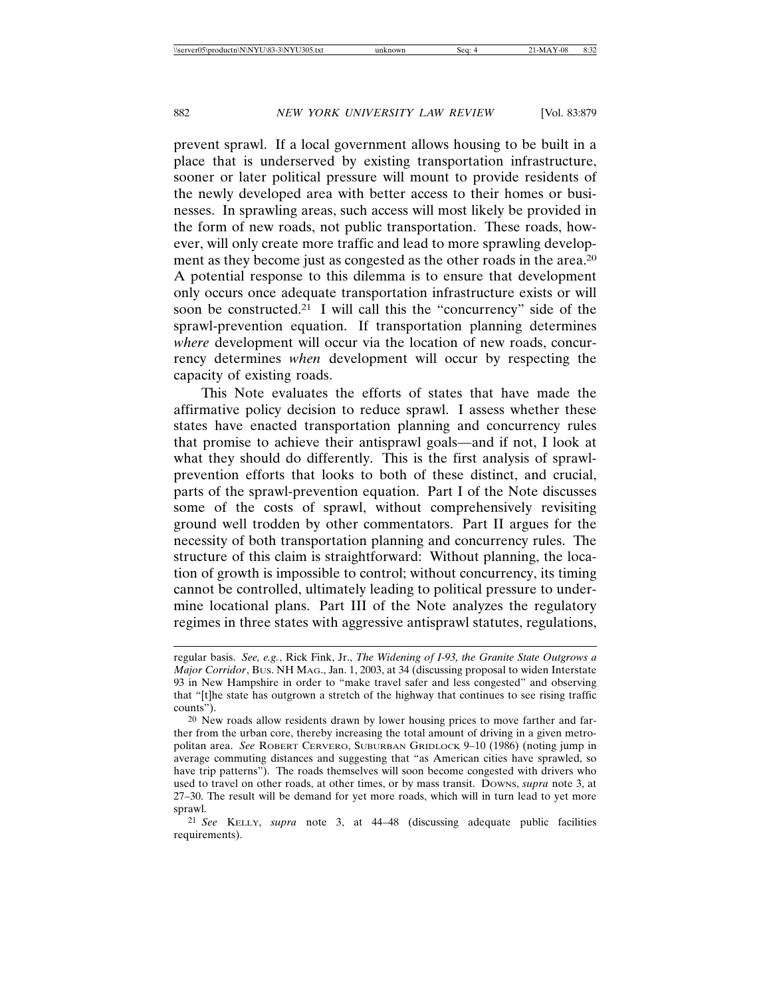prevent sprawl. If a local government allows housing to be built in a place that is underserved by existing transportation infrastructure, sooner or later political pressure will mount to provide residents of the newly developed area with better access to their homes or businesses. In sprawling areas, such access will most likely be provided in the form of new roads, not public transportation. These roads, however, will only create more traffic and lead to more sprawling development as they become just as congested as the other roads in the area.<sup>20</sup> A potential response to this dilemma is to ensure that development only occurs once adequate transportation infrastructure exists or will soon be constructed.21 I will call this the "concurrency" side of the sprawl-prevention equation. If transportation planning determines *where* development will occur via the location of new roads, concurrency determines *when* development will occur by respecting the capacity of existing roads.

This Note evaluates the efforts of states that have made the affirmative policy decision to reduce sprawl. I assess whether these states have enacted transportation planning and concurrency rules that promise to achieve their antisprawl goals—and if not, I look at what they should do differently. This is the first analysis of sprawlprevention efforts that looks to both of these distinct, and crucial, parts of the sprawl-prevention equation. Part I of the Note discusses some of the costs of sprawl, without comprehensively revisiting ground well trodden by other commentators. Part II argues for the necessity of both transportation planning and concurrency rules. The structure of this claim is straightforward: Without planning, the location of growth is impossible to control; without concurrency, its timing cannot be controlled, ultimately leading to political pressure to undermine locational plans. Part III of the Note analyzes the regulatory regimes in three states with aggressive antisprawl statutes, regulations,

21 *See* KELLY, *supra* note 3, at 44–48 (discussing adequate public facilities requirements).

regular basis. *See, e.g.*, Rick Fink, Jr., *The Widening of I-93, the Granite State Outgrows a Major Corridor*, BUS. NH MAG., Jan. 1, 2003, at 34 (discussing proposal to widen Interstate 93 in New Hampshire in order to "make travel safer and less congested" and observing that "[t]he state has outgrown a stretch of the highway that continues to see rising traffic counts").

<sup>20</sup> New roads allow residents drawn by lower housing prices to move farther and farther from the urban core, thereby increasing the total amount of driving in a given metropolitan area. *See* ROBERT CERVERO, SUBURBAN GRIDLOCK 9–10 (1986) (noting jump in average commuting distances and suggesting that "as American cities have sprawled, so have trip patterns"). The roads themselves will soon become congested with drivers who used to travel on other roads, at other times, or by mass transit. DOWNS, *supra* note 3, at 27–30. The result will be demand for yet more roads, which will in turn lead to yet more sprawl.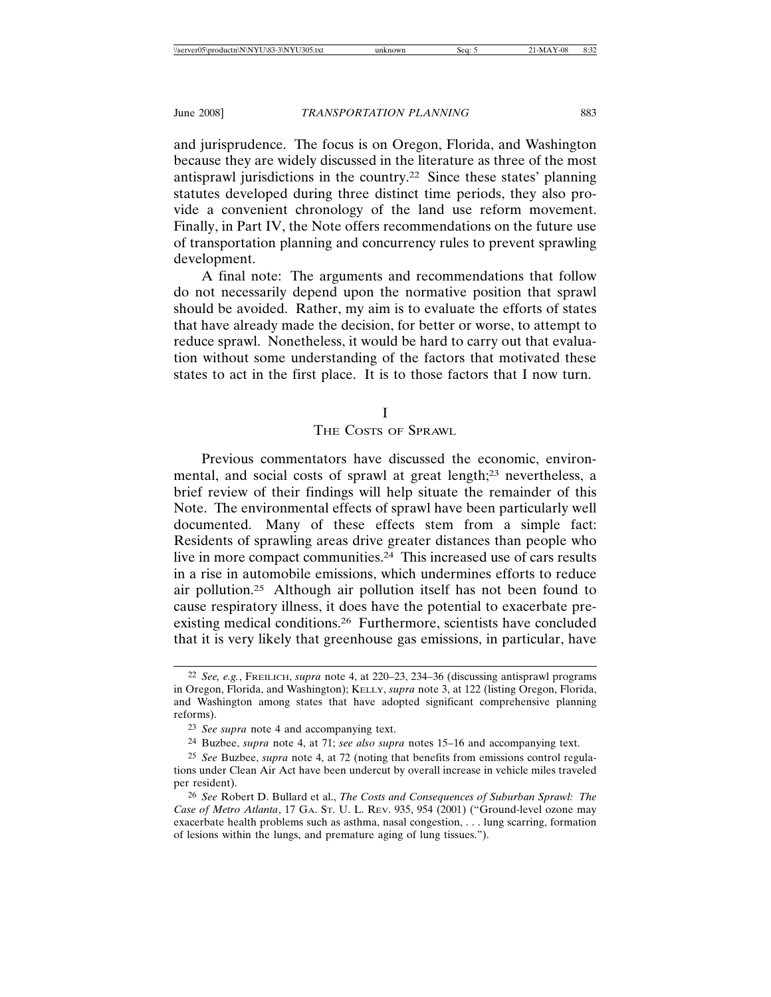and jurisprudence. The focus is on Oregon, Florida, and Washington because they are widely discussed in the literature as three of the most antisprawl jurisdictions in the country.22 Since these states' planning statutes developed during three distinct time periods, they also provide a convenient chronology of the land use reform movement. Finally, in Part IV, the Note offers recommendations on the future use of transportation planning and concurrency rules to prevent sprawling development.

A final note: The arguments and recommendations that follow do not necessarily depend upon the normative position that sprawl should be avoided. Rather, my aim is to evaluate the efforts of states that have already made the decision, for better or worse, to attempt to reduce sprawl. Nonetheless, it would be hard to carry out that evaluation without some understanding of the factors that motivated these states to act in the first place. It is to those factors that I now turn.

I

# THE COSTS OF SPRAWL

Previous commentators have discussed the economic, environmental, and social costs of sprawl at great length;23 nevertheless, a brief review of their findings will help situate the remainder of this Note. The environmental effects of sprawl have been particularly well documented. Many of these effects stem from a simple fact: Residents of sprawling areas drive greater distances than people who live in more compact communities.24 This increased use of cars results in a rise in automobile emissions, which undermines efforts to reduce air pollution.25 Although air pollution itself has not been found to cause respiratory illness, it does have the potential to exacerbate preexisting medical conditions.26 Furthermore, scientists have concluded that it is very likely that greenhouse gas emissions, in particular, have

<sup>22</sup> *See, e.g.*, FREILICH, *supra* note 4, at 220–23, 234–36 (discussing antisprawl programs in Oregon, Florida, and Washington); KELLY, *supra* note 3, at 122 (listing Oregon, Florida, and Washington among states that have adopted significant comprehensive planning reforms).

<sup>23</sup> *See supra* note 4 and accompanying text.

<sup>24</sup> Buzbee, *supra* note 4, at 71; *see also supra* notes 15–16 and accompanying text.

<sup>25</sup> *See* Buzbee, *supra* note 4, at 72 (noting that benefits from emissions control regulations under Clean Air Act have been undercut by overall increase in vehicle miles traveled per resident).

<sup>26</sup> *See* Robert D. Bullard et al., *The Costs and Consequences of Suburban Sprawl: The Case of Metro Atlanta*, 17 GA. ST. U. L. REV. 935, 954 (2001) ("Ground-level ozone may exacerbate health problems such as asthma, nasal congestion, . . . lung scarring, formation of lesions within the lungs, and premature aging of lung tissues.").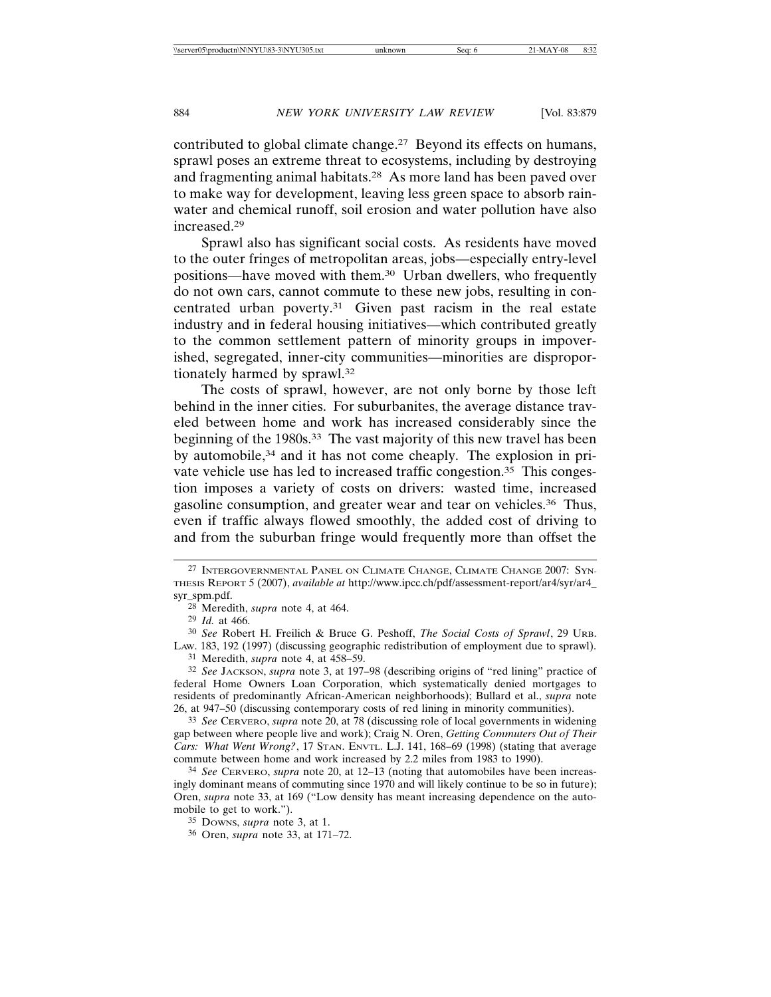contributed to global climate change.<sup>27</sup> Beyond its effects on humans, sprawl poses an extreme threat to ecosystems, including by destroying and fragmenting animal habitats.28 As more land has been paved over to make way for development, leaving less green space to absorb rainwater and chemical runoff, soil erosion and water pollution have also increased.29

Sprawl also has significant social costs. As residents have moved to the outer fringes of metropolitan areas, jobs—especially entry-level positions—have moved with them.30 Urban dwellers, who frequently do not own cars, cannot commute to these new jobs, resulting in concentrated urban poverty.31 Given past racism in the real estate industry and in federal housing initiatives—which contributed greatly to the common settlement pattern of minority groups in impoverished, segregated, inner-city communities—minorities are disproportionately harmed by sprawl.32

The costs of sprawl, however, are not only borne by those left behind in the inner cities. For suburbanites, the average distance traveled between home and work has increased considerably since the beginning of the 1980s.33 The vast majority of this new travel has been by automobile,<sup>34</sup> and it has not come cheaply. The explosion in private vehicle use has led to increased traffic congestion.<sup>35</sup> This congestion imposes a variety of costs on drivers: wasted time, increased gasoline consumption, and greater wear and tear on vehicles.36 Thus, even if traffic always flowed smoothly, the added cost of driving to and from the suburban fringe would frequently more than offset the

31 Meredith, *supra* note 4, at 458–59.

32 *See* JACKSON, *supra* note 3, at 197–98 (describing origins of "red lining" practice of federal Home Owners Loan Corporation, which systematically denied mortgages to residents of predominantly African-American neighborhoods); Bullard et al., *supra* note 26, at 947–50 (discussing contemporary costs of red lining in minority communities).

33 *See* CERVERO, *supra* note 20, at 78 (discussing role of local governments in widening gap between where people live and work); Craig N. Oren, *Getting Commuters Out of Their Cars: What Went Wrong?*, 17 STAN. ENVTL. L.J. 141, 168–69 (1998) (stating that average commute between home and work increased by 2.2 miles from 1983 to 1990).

34 *See* CERVERO, *supra* note 20, at 12–13 (noting that automobiles have been increasingly dominant means of commuting since 1970 and will likely continue to be so in future); Oren, *supra* note 33, at 169 ("Low density has meant increasing dependence on the automobile to get to work.").

<sup>27</sup> INTERGOVERNMENTAL PANEL ON CLIMATE CHANGE, CLIMATE CHANGE 2007: SYN-THESIS REPORT 5 (2007), *available at* http://www.ipcc.ch/pdf/assessment-report/ar4/syr/ar4\_ syr\_spm.pdf.

<sup>28</sup> Meredith, *supra* note 4, at 464.

<sup>29</sup> *Id.* at 466.

<sup>30</sup> *See* Robert H. Freilich & Bruce G. Peshoff, *The Social Costs of Sprawl*, 29 URB. LAW. 183, 192 (1997) (discussing geographic redistribution of employment due to sprawl).

<sup>35</sup> DOWNS, *supra* note 3, at 1.

<sup>36</sup> Oren, *supra* note 33, at 171–72.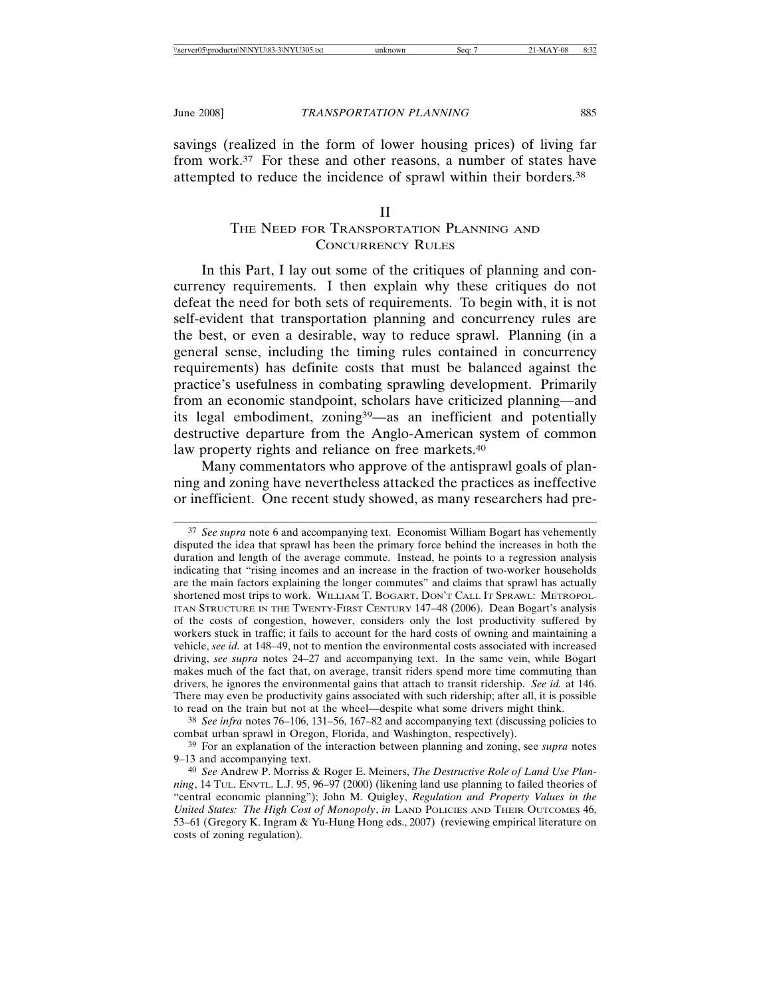savings (realized in the form of lower housing prices) of living far from work.37 For these and other reasons, a number of states have attempted to reduce the incidence of sprawl within their borders.38

# II

# THE NEED FOR TRANSPORTATION PLANNING AND CONCURRENCY RULES

In this Part, I lay out some of the critiques of planning and concurrency requirements. I then explain why these critiques do not defeat the need for both sets of requirements. To begin with, it is not self-evident that transportation planning and concurrency rules are the best, or even a desirable, way to reduce sprawl. Planning (in a general sense, including the timing rules contained in concurrency requirements) has definite costs that must be balanced against the practice's usefulness in combating sprawling development. Primarily from an economic standpoint, scholars have criticized planning—and its legal embodiment, zoning39—as an inefficient and potentially destructive departure from the Anglo-American system of common law property rights and reliance on free markets.<sup>40</sup>

Many commentators who approve of the antisprawl goals of planning and zoning have nevertheless attacked the practices as ineffective or inefficient. One recent study showed, as many researchers had pre-

38 *See infra* notes 76–106, 131–56, 167–82 and accompanying text (discussing policies to combat urban sprawl in Oregon, Florida, and Washington, respectively).

<sup>37</sup> *See supra* note 6 and accompanying text. Economist William Bogart has vehemently disputed the idea that sprawl has been the primary force behind the increases in both the duration and length of the average commute. Instead, he points to a regression analysis indicating that "rising incomes and an increase in the fraction of two-worker households are the main factors explaining the longer commutes" and claims that sprawl has actually shortened most trips to work. WILLIAM T. BOGART, DON'T CALL IT SPRAWL: METROPOL-ITAN STRUCTURE IN THE TWENTY-FIRST CENTURY 147–48 (2006). Dean Bogart's analysis of the costs of congestion, however, considers only the lost productivity suffered by workers stuck in traffic; it fails to account for the hard costs of owning and maintaining a vehicle, *see id.* at 148–49, not to mention the environmental costs associated with increased driving, *see supra* notes 24–27 and accompanying text. In the same vein, while Bogart makes much of the fact that, on average, transit riders spend more time commuting than drivers, he ignores the environmental gains that attach to transit ridership. *See id.* at 146. There may even be productivity gains associated with such ridership; after all, it is possible to read on the train but not at the wheel—despite what some drivers might think.

<sup>39</sup> For an explanation of the interaction between planning and zoning, see *supra* notes 9–13 and accompanying text.

<sup>40</sup> *See* Andrew P. Morriss & Roger E. Meiners, *The Destructive Role of Land Use Planning*, 14 TUL. ENVTL. L.J. 95, 96–97 (2000) (likening land use planning to failed theories of "central economic planning"); John M. Quigley, *Regulation and Property Values in the United States: The High Cost of Monopoly*, *in* LAND POLICIES AND THEIR OUTCOMES 46, 53–61 (Gregory K. Ingram & Yu-Hung Hong eds., 2007) (reviewing empirical literature on costs of zoning regulation).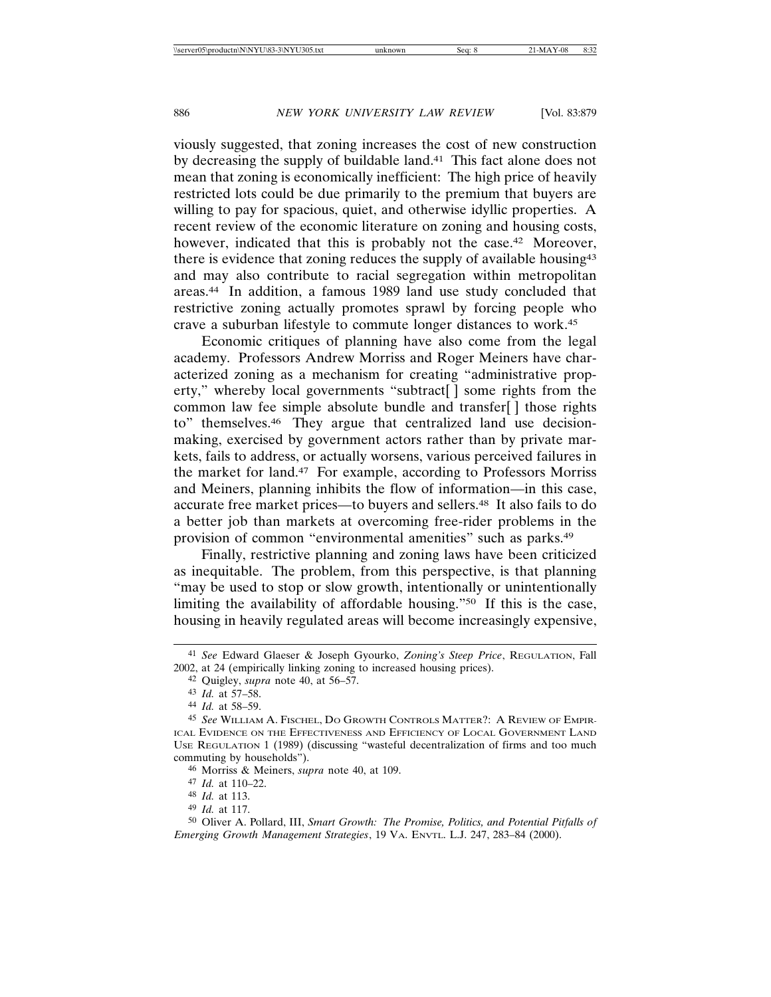viously suggested, that zoning increases the cost of new construction by decreasing the supply of buildable land.41 This fact alone does not mean that zoning is economically inefficient: The high price of heavily restricted lots could be due primarily to the premium that buyers are willing to pay for spacious, quiet, and otherwise idyllic properties. A recent review of the economic literature on zoning and housing costs, however, indicated that this is probably not the case.<sup>42</sup> Moreover, there is evidence that zoning reduces the supply of available housing43 and may also contribute to racial segregation within metropolitan areas.44 In addition, a famous 1989 land use study concluded that restrictive zoning actually promotes sprawl by forcing people who crave a suburban lifestyle to commute longer distances to work.45

Economic critiques of planning have also come from the legal academy. Professors Andrew Morriss and Roger Meiners have characterized zoning as a mechanism for creating "administrative property," whereby local governments "subtract[ ] some rights from the common law fee simple absolute bundle and transfer[ ] those rights to" themselves.46 They argue that centralized land use decisionmaking, exercised by government actors rather than by private markets, fails to address, or actually worsens, various perceived failures in the market for land.47 For example, according to Professors Morriss and Meiners, planning inhibits the flow of information—in this case, accurate free market prices—to buyers and sellers.48 It also fails to do a better job than markets at overcoming free-rider problems in the provision of common "environmental amenities" such as parks.49

Finally, restrictive planning and zoning laws have been criticized as inequitable. The problem, from this perspective, is that planning "may be used to stop or slow growth, intentionally or unintentionally limiting the availability of affordable housing."50 If this is the case, housing in heavily regulated areas will become increasingly expensive,

<sup>41</sup> *See* Edward Glaeser & Joseph Gyourko, *Zoning's Steep Price*, REGULATION, Fall 2002, at 24 (empirically linking zoning to increased housing prices).

<sup>42</sup> Quigley, *supra* note 40, at 56–57.

<sup>43</sup> *Id.* at 57–58.

<sup>44</sup> *Id.* at 58–59.

<sup>45</sup> *See* WILLIAM A. FISCHEL, DO GROWTH CONTROLS MATTER?: A REVIEW OF EMPIR-ICAL EVIDENCE ON THE EFFECTIVENESS AND EFFICIENCY OF LOCAL GOVERNMENT LAND USE REGULATION 1 (1989) (discussing "wasteful decentralization of firms and too much commuting by households").

<sup>46</sup> Morriss & Meiners, *supra* note 40, at 109.

<sup>47</sup> *Id.* at 110–22.

<sup>48</sup> *Id.* at 113.

<sup>49</sup> *Id.* at 117.

<sup>50</sup> Oliver A. Pollard, III, *Smart Growth: The Promise, Politics, and Potential Pitfalls of Emerging Growth Management Strategies*, 19 VA. ENVTL. L.J. 247, 283–84 (2000).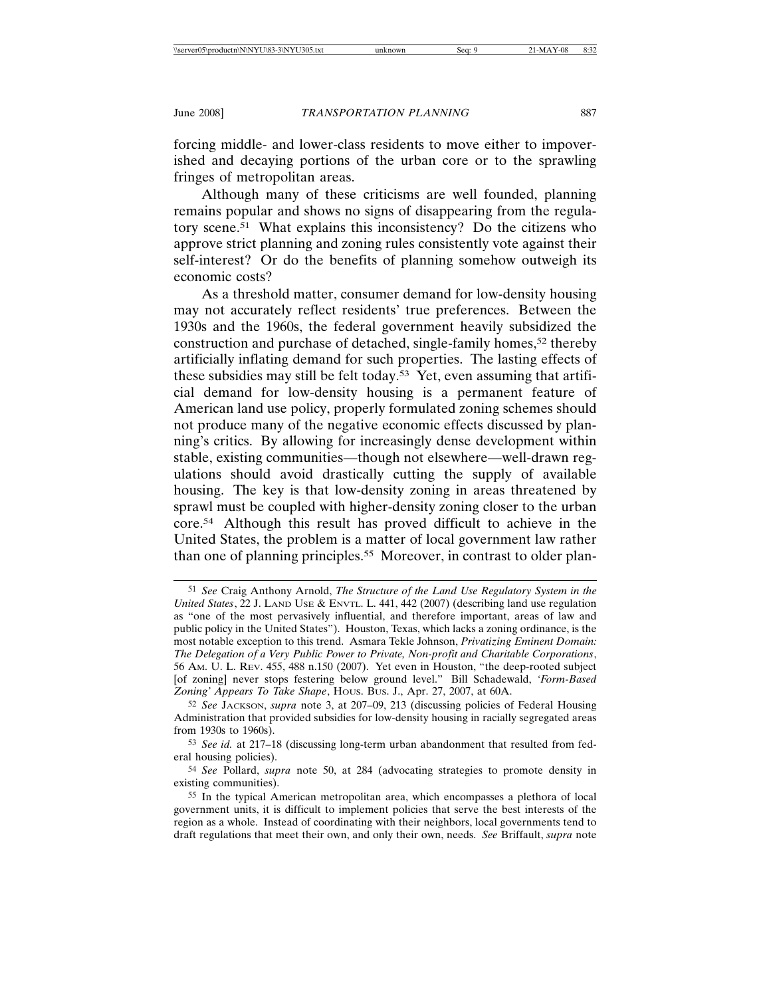forcing middle- and lower-class residents to move either to impoverished and decaying portions of the urban core or to the sprawling fringes of metropolitan areas.

Although many of these criticisms are well founded, planning remains popular and shows no signs of disappearing from the regulatory scene.51 What explains this inconsistency? Do the citizens who approve strict planning and zoning rules consistently vote against their self-interest? Or do the benefits of planning somehow outweigh its economic costs?

As a threshold matter, consumer demand for low-density housing may not accurately reflect residents' true preferences. Between the 1930s and the 1960s, the federal government heavily subsidized the construction and purchase of detached, single-family homes,52 thereby artificially inflating demand for such properties. The lasting effects of these subsidies may still be felt today.53 Yet, even assuming that artificial demand for low-density housing is a permanent feature of American land use policy, properly formulated zoning schemes should not produce many of the negative economic effects discussed by planning's critics. By allowing for increasingly dense development within stable, existing communities—though not elsewhere—well-drawn regulations should avoid drastically cutting the supply of available housing. The key is that low-density zoning in areas threatened by sprawl must be coupled with higher-density zoning closer to the urban core.54 Although this result has proved difficult to achieve in the United States, the problem is a matter of local government law rather than one of planning principles.55 Moreover, in contrast to older plan-

<sup>51</sup> *See* Craig Anthony Arnold, *The Structure of the Land Use Regulatory System in the United States*, 22 J. LAND USE & ENVTL. L. 441, 442 (2007) (describing land use regulation as "one of the most pervasively influential, and therefore important, areas of law and public policy in the United States"). Houston, Texas, which lacks a zoning ordinance, is the most notable exception to this trend. Asmara Tekle Johnson, *Privatizing Eminent Domain: The Delegation of a Very Public Power to Private, Non-profit and Charitable Corporations*, 56 AM. U. L. REV. 455, 488 n.150 (2007). Yet even in Houston, "the deep-rooted subject [of zoning] never stops festering below ground level." Bill Schadewald, *'Form-Based Zoning' Appears To Take Shape*, HOUS. BUS. J., Apr. 27, 2007, at 60A.

<sup>52</sup> *See* JACKSON, *supra* note 3, at 207–09, 213 (discussing policies of Federal Housing Administration that provided subsidies for low-density housing in racially segregated areas from 1930s to 1960s).

<sup>53</sup> *See id.* at 217–18 (discussing long-term urban abandonment that resulted from federal housing policies).

<sup>54</sup> *See* Pollard, *supra* note 50, at 284 (advocating strategies to promote density in existing communities).

<sup>55</sup> In the typical American metropolitan area, which encompasses a plethora of local government units, it is difficult to implement policies that serve the best interests of the region as a whole. Instead of coordinating with their neighbors, local governments tend to draft regulations that meet their own, and only their own, needs. *See* Briffault, *supra* note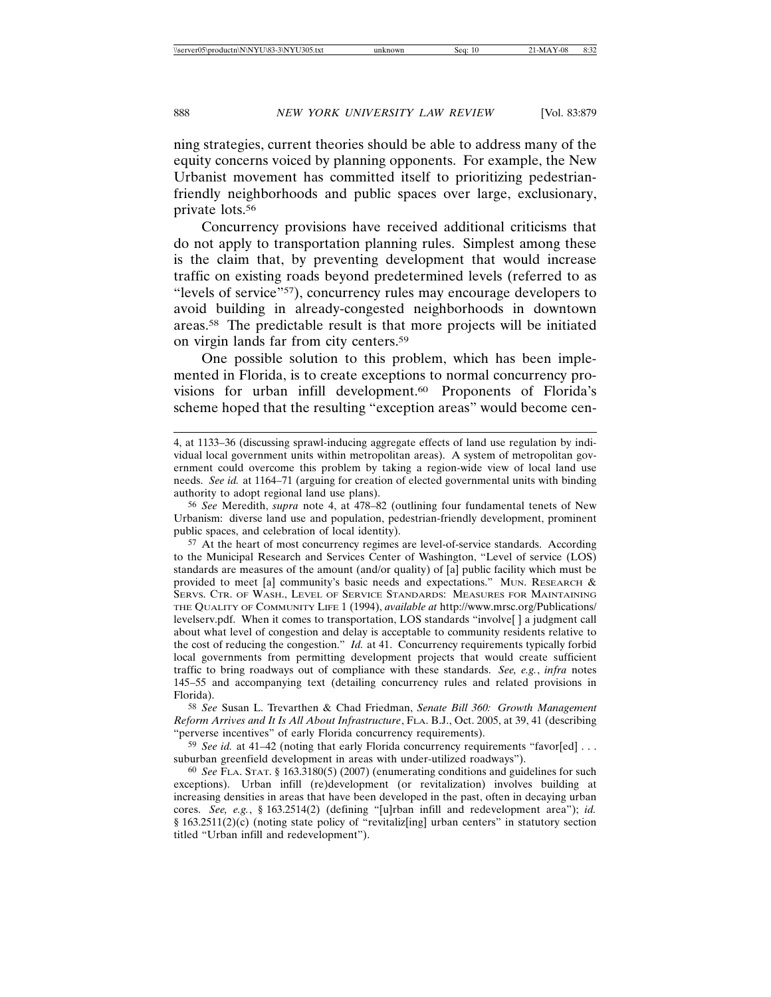ning strategies, current theories should be able to address many of the equity concerns voiced by planning opponents. For example, the New Urbanist movement has committed itself to prioritizing pedestrianfriendly neighborhoods and public spaces over large, exclusionary, private lots.56

Concurrency provisions have received additional criticisms that do not apply to transportation planning rules. Simplest among these is the claim that, by preventing development that would increase traffic on existing roads beyond predetermined levels (referred to as "levels of service"57), concurrency rules may encourage developers to avoid building in already-congested neighborhoods in downtown areas.58 The predictable result is that more projects will be initiated on virgin lands far from city centers.59

One possible solution to this problem, which has been implemented in Florida, is to create exceptions to normal concurrency provisions for urban infill development.<sup>60</sup> Proponents of Florida's scheme hoped that the resulting "exception areas" would become cen-

58 *See* Susan L. Trevarthen & Chad Friedman, *Senate Bill 360: Growth Management Reform Arrives and It Is All About Infrastructure*, FLA. B.J., Oct. 2005, at 39, 41 (describing "perverse incentives" of early Florida concurrency requirements).

59 *See id.* at 41–42 (noting that early Florida concurrency requirements "favor[ed] . . . suburban greenfield development in areas with under-utilized roadways").

60 *See* FLA. STAT. § 163.3180(5) (2007) (enumerating conditions and guidelines for such exceptions). Urban infill (re)development (or revitalization) involves building at increasing densities in areas that have been developed in the past, often in decaying urban cores. *See, e.g.*, § 163.2514(2) (defining "[u]rban infill and redevelopment area"); *id.* § 163.2511(2)(c) (noting state policy of "revitaliz[ing] urban centers" in statutory section titled "Urban infill and redevelopment").

<sup>4,</sup> at 1133–36 (discussing sprawl-inducing aggregate effects of land use regulation by individual local government units within metropolitan areas). A system of metropolitan government could overcome this problem by taking a region-wide view of local land use needs. *See id.* at 1164–71 (arguing for creation of elected governmental units with binding authority to adopt regional land use plans).

<sup>56</sup> *See* Meredith, *supra* note 4, at 478–82 (outlining four fundamental tenets of New Urbanism: diverse land use and population, pedestrian-friendly development, prominent public spaces, and celebration of local identity).

<sup>57</sup> At the heart of most concurrency regimes are level-of-service standards. According to the Municipal Research and Services Center of Washington, "Level of service (LOS) standards are measures of the amount (and/or quality) of [a] public facility which must be provided to meet [a] community's basic needs and expectations." MUN. RESEARCH & SERVS. CTR. OF WASH., LEVEL OF SERVICE STANDARDS: MEASURES FOR MAINTAINING THE QUALITY OF COMMUNITY LIFE 1 (1994), *available at* http://www.mrsc.org/Publications/ levelserv.pdf. When it comes to transportation, LOS standards "involve[ ] a judgment call about what level of congestion and delay is acceptable to community residents relative to the cost of reducing the congestion." *Id.* at 41. Concurrency requirements typically forbid local governments from permitting development projects that would create sufficient traffic to bring roadways out of compliance with these standards. *See, e.g.*, *infra* notes 145–55 and accompanying text (detailing concurrency rules and related provisions in Florida).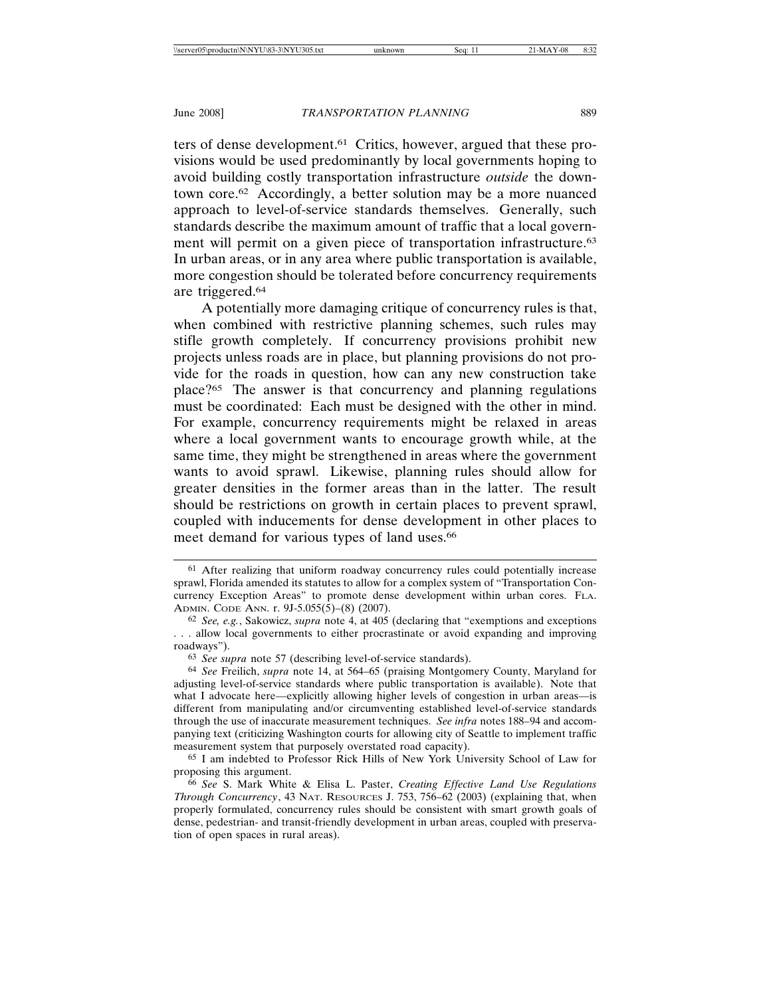ters of dense development.61 Critics, however, argued that these provisions would be used predominantly by local governments hoping to avoid building costly transportation infrastructure *outside* the downtown core.62 Accordingly, a better solution may be a more nuanced approach to level-of-service standards themselves. Generally, such standards describe the maximum amount of traffic that a local government will permit on a given piece of transportation infrastructure.<sup>63</sup> In urban areas, or in any area where public transportation is available, more congestion should be tolerated before concurrency requirements are triggered.64

A potentially more damaging critique of concurrency rules is that, when combined with restrictive planning schemes, such rules may stifle growth completely. If concurrency provisions prohibit new projects unless roads are in place, but planning provisions do not provide for the roads in question, how can any new construction take place?65 The answer is that concurrency and planning regulations must be coordinated: Each must be designed with the other in mind. For example, concurrency requirements might be relaxed in areas where a local government wants to encourage growth while, at the same time, they might be strengthened in areas where the government wants to avoid sprawl. Likewise, planning rules should allow for greater densities in the former areas than in the latter. The result should be restrictions on growth in certain places to prevent sprawl, coupled with inducements for dense development in other places to meet demand for various types of land uses.<sup>66</sup>

65 I am indebted to Professor Rick Hills of New York University School of Law for proposing this argument.

<sup>61</sup> After realizing that uniform roadway concurrency rules could potentially increase sprawl, Florida amended its statutes to allow for a complex system of "Transportation Concurrency Exception Areas" to promote dense development within urban cores. FLA. ADMIN. CODE ANN. r. 9J-5.055(5)–(8) (2007).

<sup>62</sup> *See, e.g.*, Sakowicz, *supra* note 4, at 405 (declaring that "exemptions and exceptions . . . allow local governments to either procrastinate or avoid expanding and improving roadways").

<sup>63</sup> *See supra* note 57 (describing level-of-service standards).

<sup>64</sup> *See* Freilich, *supra* note 14, at 564–65 (praising Montgomery County, Maryland for adjusting level-of-service standards where public transportation is available). Note that what I advocate here—explicitly allowing higher levels of congestion in urban areas—is different from manipulating and/or circumventing established level-of-service standards through the use of inaccurate measurement techniques. *See infra* notes 188–94 and accompanying text (criticizing Washington courts for allowing city of Seattle to implement traffic measurement system that purposely overstated road capacity).

<sup>66</sup> *See* S. Mark White & Elisa L. Paster, *Creating Effective Land Use Regulations Through Concurrency*, 43 NAT. RESOURCES J. 753, 756–62 (2003) (explaining that, when properly formulated, concurrency rules should be consistent with smart growth goals of dense, pedestrian- and transit-friendly development in urban areas, coupled with preservation of open spaces in rural areas).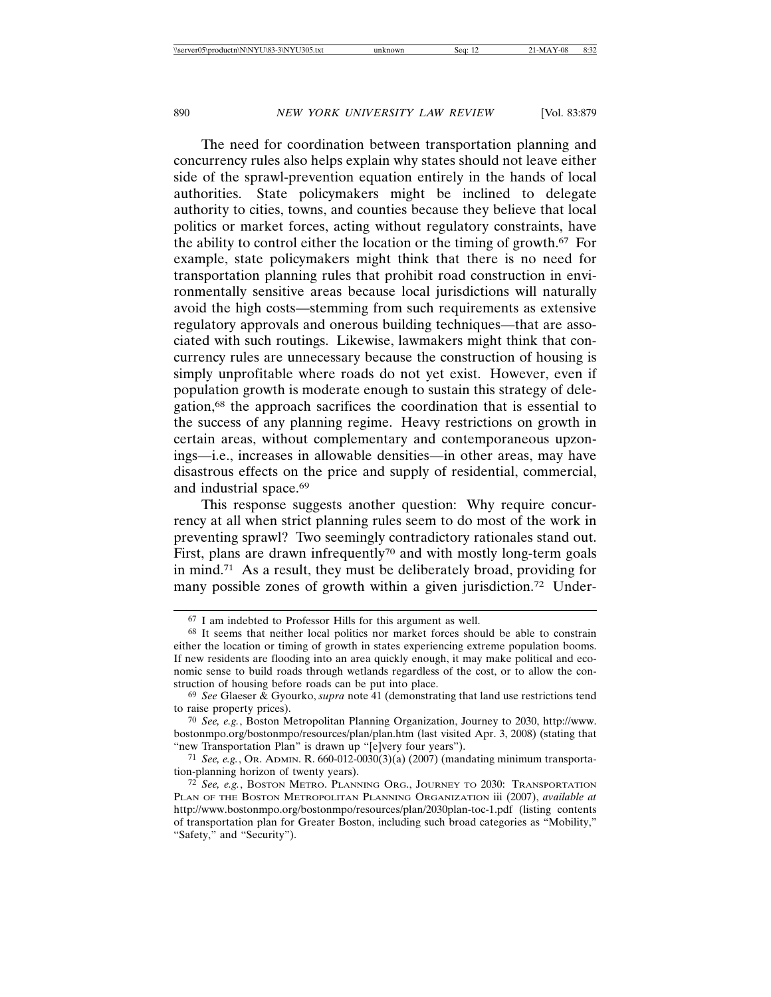The need for coordination between transportation planning and concurrency rules also helps explain why states should not leave either side of the sprawl-prevention equation entirely in the hands of local authorities. State policymakers might be inclined to delegate authority to cities, towns, and counties because they believe that local politics or market forces, acting without regulatory constraints, have the ability to control either the location or the timing of growth.67 For example, state policymakers might think that there is no need for transportation planning rules that prohibit road construction in environmentally sensitive areas because local jurisdictions will naturally avoid the high costs—stemming from such requirements as extensive regulatory approvals and onerous building techniques—that are associated with such routings. Likewise, lawmakers might think that concurrency rules are unnecessary because the construction of housing is simply unprofitable where roads do not yet exist. However, even if population growth is moderate enough to sustain this strategy of delegation,68 the approach sacrifices the coordination that is essential to the success of any planning regime. Heavy restrictions on growth in certain areas, without complementary and contemporaneous upzonings—i.e., increases in allowable densities—in other areas, may have disastrous effects on the price and supply of residential, commercial, and industrial space.69

This response suggests another question: Why require concurrency at all when strict planning rules seem to do most of the work in preventing sprawl? Two seemingly contradictory rationales stand out. First, plans are drawn infrequently<sup>70</sup> and with mostly long-term goals in mind.71 As a result, they must be deliberately broad, providing for many possible zones of growth within a given jurisdiction.<sup>72</sup> Under-

<sup>67</sup> I am indebted to Professor Hills for this argument as well.

<sup>68</sup> It seems that neither local politics nor market forces should be able to constrain either the location or timing of growth in states experiencing extreme population booms. If new residents are flooding into an area quickly enough, it may make political and economic sense to build roads through wetlands regardless of the cost, or to allow the construction of housing before roads can be put into place.

<sup>69</sup> *See* Glaeser & Gyourko, *supra* note 41 (demonstrating that land use restrictions tend to raise property prices).

<sup>70</sup> *See, e.g.*, Boston Metropolitan Planning Organization, Journey to 2030, http://www. bostonmpo.org/bostonmpo/resources/plan/plan.htm (last visited Apr. 3, 2008) (stating that "new Transportation Plan" is drawn up "[e]very four years").

<sup>71</sup> *See, e.g.*, OR. ADMIN. R. 660-012-0030(3)(a) (2007) (mandating minimum transportation-planning horizon of twenty years).

<sup>72</sup> *See, e.g.*, BOSTON METRO. PLANNING ORG., JOURNEY TO 2030: TRANSPORTATION PLAN OF THE BOSTON METROPOLITAN PLANNING ORGANIZATION iii (2007), *available at* http://www.bostonmpo.org/bostonmpo/resources/plan/2030plan-toc-1.pdf (listing contents of transportation plan for Greater Boston, including such broad categories as "Mobility," "Safety," and "Security").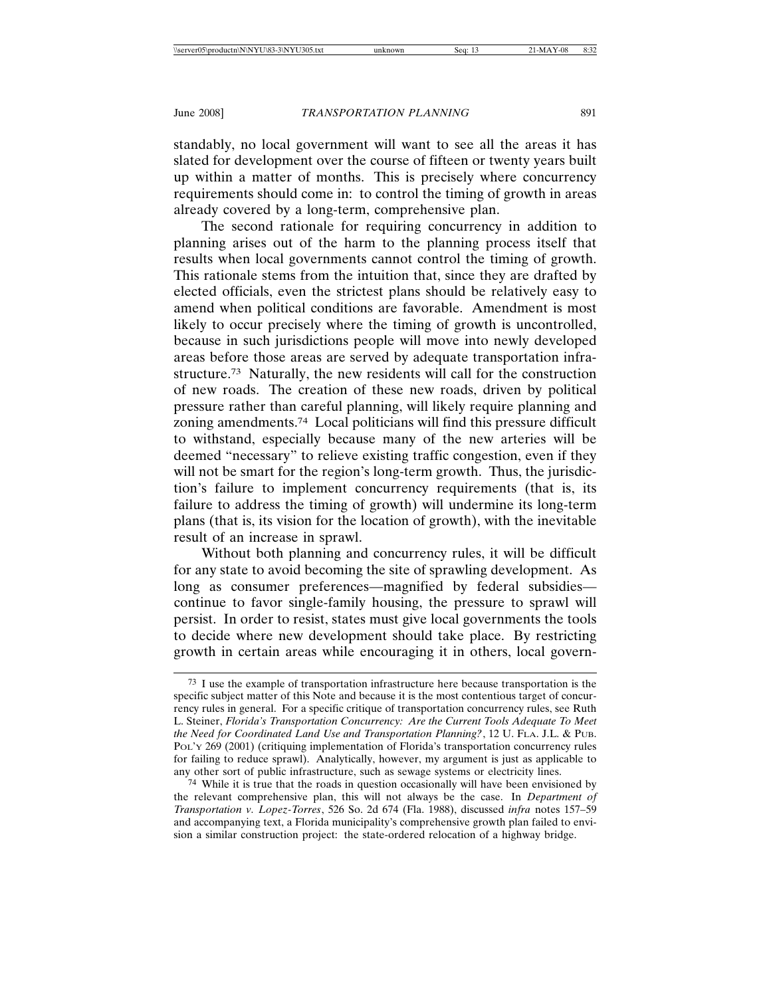standably, no local government will want to see all the areas it has slated for development over the course of fifteen or twenty years built up within a matter of months. This is precisely where concurrency requirements should come in: to control the timing of growth in areas already covered by a long-term, comprehensive plan.

The second rationale for requiring concurrency in addition to planning arises out of the harm to the planning process itself that results when local governments cannot control the timing of growth. This rationale stems from the intuition that, since they are drafted by elected officials, even the strictest plans should be relatively easy to amend when political conditions are favorable. Amendment is most likely to occur precisely where the timing of growth is uncontrolled, because in such jurisdictions people will move into newly developed areas before those areas are served by adequate transportation infrastructure.73 Naturally, the new residents will call for the construction of new roads. The creation of these new roads, driven by political pressure rather than careful planning, will likely require planning and zoning amendments.74 Local politicians will find this pressure difficult to withstand, especially because many of the new arteries will be deemed "necessary" to relieve existing traffic congestion, even if they will not be smart for the region's long-term growth. Thus, the jurisdiction's failure to implement concurrency requirements (that is, its failure to address the timing of growth) will undermine its long-term plans (that is, its vision for the location of growth), with the inevitable result of an increase in sprawl.

Without both planning and concurrency rules, it will be difficult for any state to avoid becoming the site of sprawling development. As long as consumer preferences—magnified by federal subsidies continue to favor single-family housing, the pressure to sprawl will persist. In order to resist, states must give local governments the tools to decide where new development should take place. By restricting growth in certain areas while encouraging it in others, local govern-

<sup>73</sup> I use the example of transportation infrastructure here because transportation is the specific subject matter of this Note and because it is the most contentious target of concurrency rules in general. For a specific critique of transportation concurrency rules, see Ruth L. Steiner, *Florida's Transportation Concurrency: Are the Current Tools Adequate To Meet the Need for Coordinated Land Use and Transportation Planning?*, 12 U. FLA. J.L. & PUB. POL'Y 269 (2001) (critiquing implementation of Florida's transportation concurrency rules for failing to reduce sprawl). Analytically, however, my argument is just as applicable to any other sort of public infrastructure, such as sewage systems or electricity lines.

<sup>74</sup> While it is true that the roads in question occasionally will have been envisioned by the relevant comprehensive plan, this will not always be the case. In *Department of Transportation v. Lopez-Torres*, 526 So. 2d 674 (Fla. 1988), discussed *infra* notes 157–59 and accompanying text, a Florida municipality's comprehensive growth plan failed to envision a similar construction project: the state-ordered relocation of a highway bridge.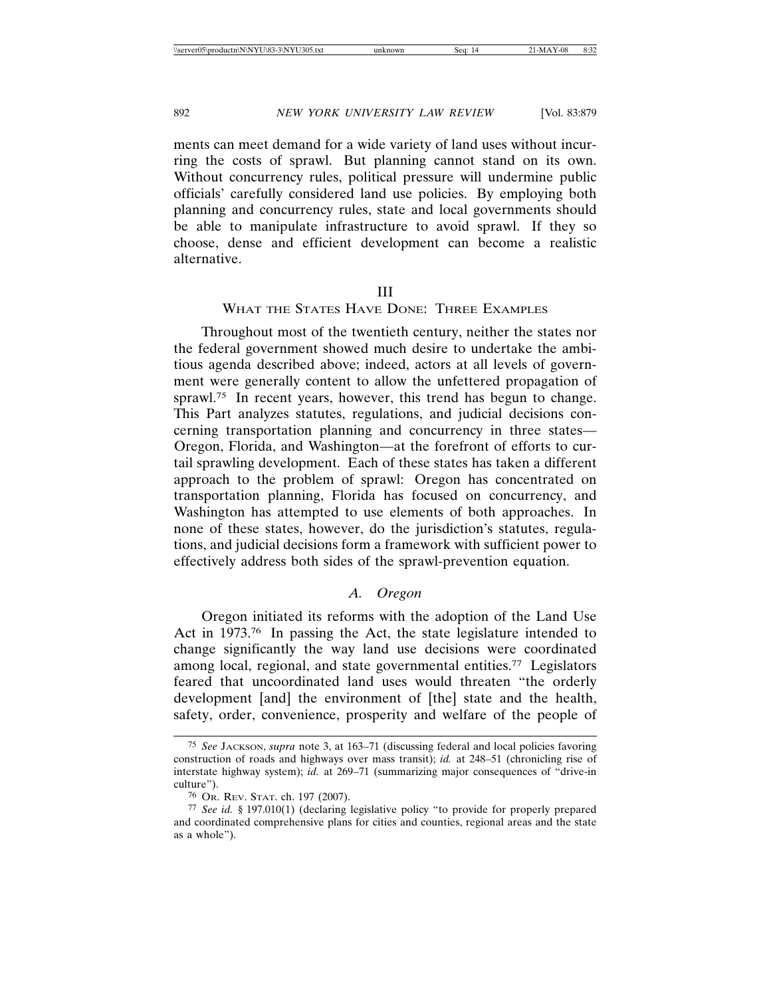ments can meet demand for a wide variety of land uses without incurring the costs of sprawl. But planning cannot stand on its own. Without concurrency rules, political pressure will undermine public officials' carefully considered land use policies. By employing both planning and concurrency rules, state and local governments should be able to manipulate infrastructure to avoid sprawl. If they so choose, dense and efficient development can become a realistic alternative.

### III

# WHAT THE STATES HAVE DONE: THREE EXAMPLES

Throughout most of the twentieth century, neither the states nor the federal government showed much desire to undertake the ambitious agenda described above; indeed, actors at all levels of government were generally content to allow the unfettered propagation of sprawl.<sup>75</sup> In recent years, however, this trend has begun to change. This Part analyzes statutes, regulations, and judicial decisions concerning transportation planning and concurrency in three states— Oregon, Florida, and Washington—at the forefront of efforts to curtail sprawling development. Each of these states has taken a different approach to the problem of sprawl: Oregon has concentrated on transportation planning, Florida has focused on concurrency, and Washington has attempted to use elements of both approaches. In none of these states, however, do the jurisdiction's statutes, regulations, and judicial decisions form a framework with sufficient power to effectively address both sides of the sprawl-prevention equation.

# *A. Oregon*

Oregon initiated its reforms with the adoption of the Land Use Act in 1973.<sup>76</sup> In passing the Act, the state legislature intended to change significantly the way land use decisions were coordinated among local, regional, and state governmental entities.77 Legislators feared that uncoordinated land uses would threaten "the orderly development [and] the environment of [the] state and the health, safety, order, convenience, prosperity and welfare of the people of

<sup>75</sup> *See* JACKSON, *supra* note 3, at 163–71 (discussing federal and local policies favoring construction of roads and highways over mass transit); *id.* at 248–51 (chronicling rise of interstate highway system); *id.* at 269–71 (summarizing major consequences of "drive-in" culture").

<sup>76</sup> OR. REV. STAT. ch. 197 (2007).

<sup>77</sup> *See id.* § 197.010(1) (declaring legislative policy "to provide for properly prepared and coordinated comprehensive plans for cities and counties, regional areas and the state as a whole").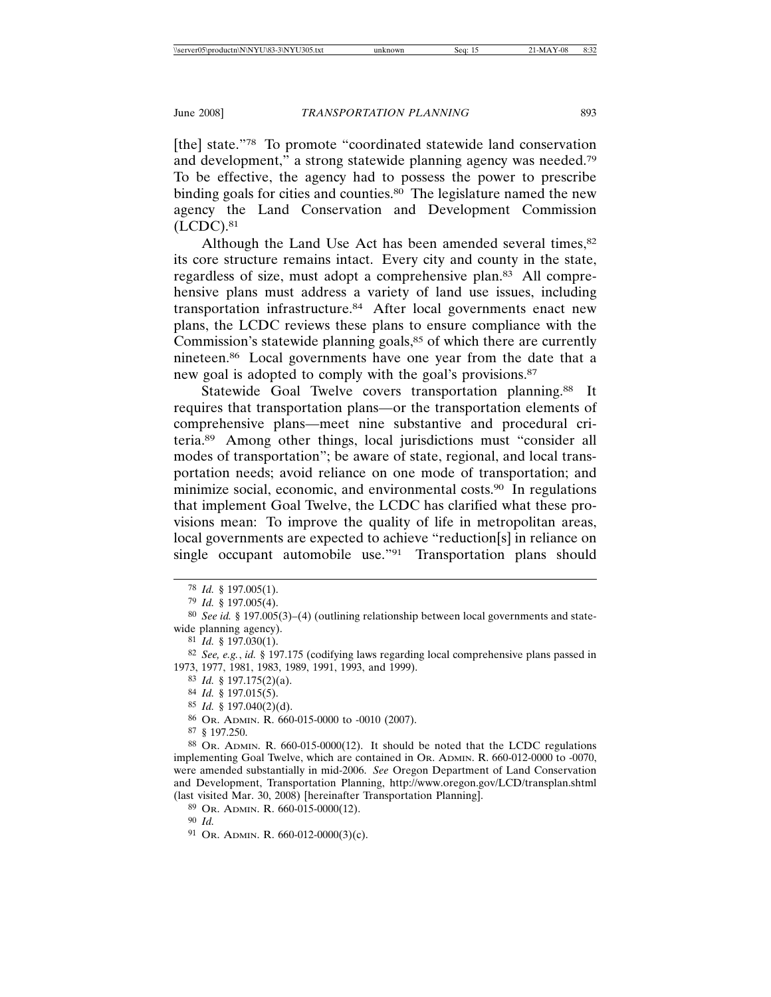[the] state."78 To promote "coordinated statewide land conservation and development," a strong statewide planning agency was needed.79 To be effective, the agency had to possess the power to prescribe binding goals for cities and counties.<sup>80</sup> The legislature named the new agency the Land Conservation and Development Commission  $(LCDC).<sup>81</sup>$ 

Although the Land Use Act has been amended several times,<sup>82</sup> its core structure remains intact. Every city and county in the state, regardless of size, must adopt a comprehensive plan.83 All comprehensive plans must address a variety of land use issues, including transportation infrastructure.84 After local governments enact new plans, the LCDC reviews these plans to ensure compliance with the Commission's statewide planning goals,<sup>85</sup> of which there are currently nineteen.86 Local governments have one year from the date that a new goal is adopted to comply with the goal's provisions.87

Statewide Goal Twelve covers transportation planning.<sup>88</sup> It requires that transportation plans—or the transportation elements of comprehensive plans—meet nine substantive and procedural criteria.89 Among other things, local jurisdictions must "consider all modes of transportation"; be aware of state, regional, and local transportation needs; avoid reliance on one mode of transportation; and minimize social, economic, and environmental costs.<sup>90</sup> In regulations that implement Goal Twelve, the LCDC has clarified what these provisions mean: To improve the quality of life in metropolitan areas, local governments are expected to achieve "reduction[s] in reliance on single occupant automobile use."91 Transportation plans should

83 *Id.* § 197.175(2)(a).

85 *Id.* § 197.040(2)(d).

87 § 197.250.

90 *Id.*

<sup>78</sup> *Id.* § 197.005(1).

<sup>79</sup> *Id.* § 197.005(4).

<sup>80</sup> *See id.* § 197.005(3)–(4) (outlining relationship between local governments and statewide planning agency).

<sup>81</sup> *Id.* § 197.030(1).

<sup>82</sup> *See, e.g.*, *id.* § 197.175 (codifying laws regarding local comprehensive plans passed in 1973, 1977, 1981, 1983, 1989, 1991, 1993, and 1999).

<sup>84</sup> *Id.* § 197.015(5).

<sup>86</sup> OR. ADMIN. R. 660-015-0000 to -0010 (2007).

<sup>88</sup> OR. ADMIN. R. 660-015-0000(12). It should be noted that the LCDC regulations implementing Goal Twelve, which are contained in OR. ADMIN. R. 660-012-0000 to -0070, were amended substantially in mid-2006. *See* Oregon Department of Land Conservation and Development, Transportation Planning, http://www.oregon.gov/LCD/transplan.shtml (last visited Mar. 30, 2008) [hereinafter Transportation Planning].

<sup>89</sup> OR. ADMIN. R. 660-015-0000(12).

<sup>91</sup> OR. ADMIN. R. 660-012-0000(3)(c).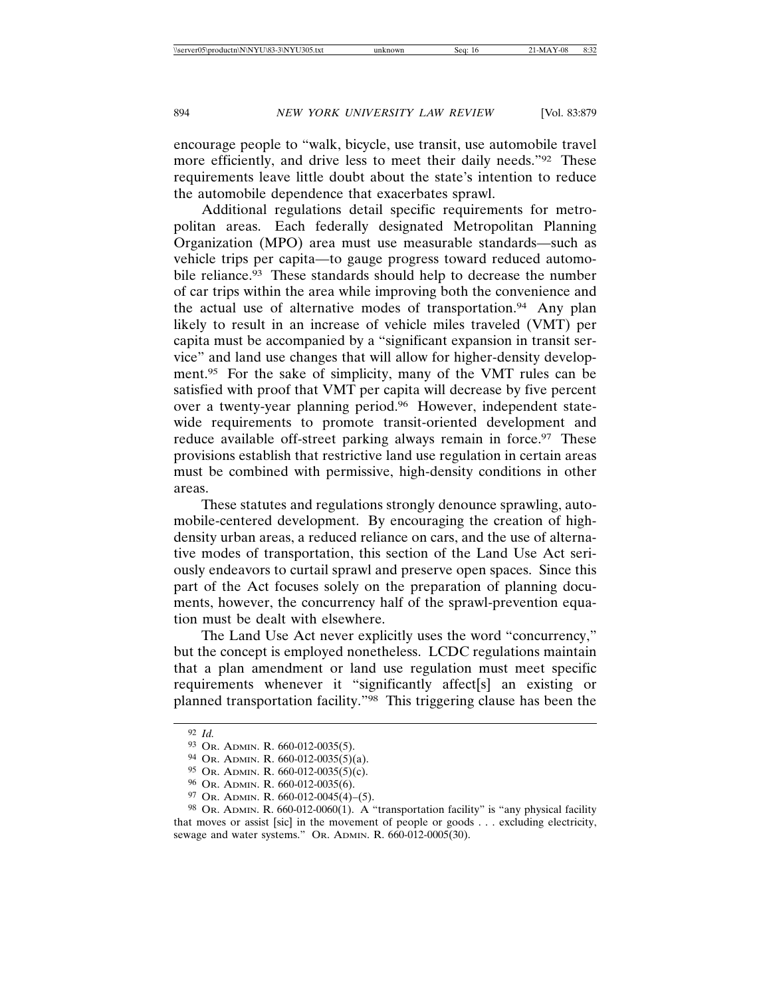encourage people to "walk, bicycle, use transit, use automobile travel more efficiently, and drive less to meet their daily needs."<sup>92</sup> These requirements leave little doubt about the state's intention to reduce the automobile dependence that exacerbates sprawl.

Additional regulations detail specific requirements for metropolitan areas. Each federally designated Metropolitan Planning Organization (MPO) area must use measurable standards—such as vehicle trips per capita—to gauge progress toward reduced automobile reliance.<sup>93</sup> These standards should help to decrease the number of car trips within the area while improving both the convenience and the actual use of alternative modes of transportation.94 Any plan likely to result in an increase of vehicle miles traveled (VMT) per capita must be accompanied by a "significant expansion in transit service" and land use changes that will allow for higher-density development.<sup>95</sup> For the sake of simplicity, many of the VMT rules can be satisfied with proof that VMT per capita will decrease by five percent over a twenty-year planning period.<sup>96</sup> However, independent statewide requirements to promote transit-oriented development and reduce available off-street parking always remain in force.<sup>97</sup> These provisions establish that restrictive land use regulation in certain areas must be combined with permissive, high-density conditions in other areas.

These statutes and regulations strongly denounce sprawling, automobile-centered development. By encouraging the creation of highdensity urban areas, a reduced reliance on cars, and the use of alternative modes of transportation, this section of the Land Use Act seriously endeavors to curtail sprawl and preserve open spaces. Since this part of the Act focuses solely on the preparation of planning documents, however, the concurrency half of the sprawl-prevention equation must be dealt with elsewhere.

The Land Use Act never explicitly uses the word "concurrency," but the concept is employed nonetheless. LCDC regulations maintain that a plan amendment or land use regulation must meet specific requirements whenever it "significantly affect[s] an existing or planned transportation facility."98 This triggering clause has been the

<sup>92</sup> *Id.*

<sup>93</sup> OR. ADMIN. R. 660-012-0035(5).

<sup>94</sup> OR. ADMIN. R. 660-012-0035(5)(a).

 $95$  Or. ADMIN. R. 660-012-0035(5)(c).

<sup>96</sup> OR. ADMIN. R. 660-012-0035(6).

<sup>97</sup> OR. ADMIN. R. 660-012-0045(4)–(5).

<sup>98</sup> OR. ADMIN. R. 660-012-0060(1). A "transportation facility" is "any physical facility" that moves or assist [sic] in the movement of people or goods . . . excluding electricity, sewage and water systems." OR. ADMIN. R. 660-012-0005(30).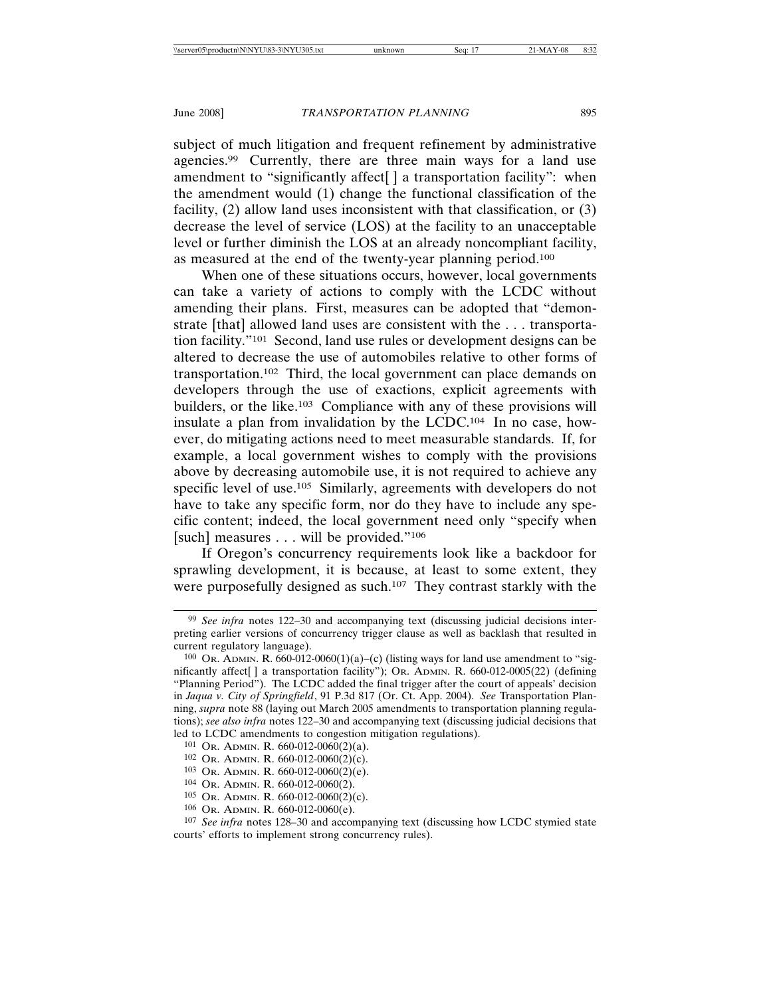subject of much litigation and frequent refinement by administrative agencies.99 Currently, there are three main ways for a land use amendment to "significantly affect[ ] a transportation facility": when the amendment would (1) change the functional classification of the facility, (2) allow land uses inconsistent with that classification, or (3) decrease the level of service (LOS) at the facility to an unacceptable level or further diminish the LOS at an already noncompliant facility, as measured at the end of the twenty-year planning period.100

When one of these situations occurs, however, local governments can take a variety of actions to comply with the LCDC without amending their plans. First, measures can be adopted that "demonstrate [that] allowed land uses are consistent with the . . . transportation facility."101 Second, land use rules or development designs can be altered to decrease the use of automobiles relative to other forms of transportation.102 Third, the local government can place demands on developers through the use of exactions, explicit agreements with builders, or the like.103 Compliance with any of these provisions will insulate a plan from invalidation by the LCDC.104 In no case, however, do mitigating actions need to meet measurable standards. If, for example, a local government wishes to comply with the provisions above by decreasing automobile use, it is not required to achieve any specific level of use.<sup>105</sup> Similarly, agreements with developers do not have to take any specific form, nor do they have to include any specific content; indeed, the local government need only "specify when [such] measures . . . will be provided."<sup>106</sup>

If Oregon's concurrency requirements look like a backdoor for sprawling development, it is because, at least to some extent, they were purposefully designed as such.<sup>107</sup> They contrast starkly with the

<sup>99</sup> *See infra* notes 122–30 and accompanying text (discussing judicial decisions interpreting earlier versions of concurrency trigger clause as well as backlash that resulted in current regulatory language).

 $100$  Or. ADMIN. R. 660-012-0060(1)(a)–(c) (listing ways for land use amendment to "significantly affect[ ] a transportation facility"); OR. ADMIN. R. 660-012-0005(22) (defining "Planning Period"). The LCDC added the final trigger after the court of appeals' decision in *Jaqua v. City of Springfield*, 91 P.3d 817 (Or. Ct. App. 2004). *See* Transportation Planning, *supra* note 88 (laying out March 2005 amendments to transportation planning regulations); *see also infra* notes 122–30 and accompanying text (discussing judicial decisions that led to LCDC amendments to congestion mitigation regulations).

<sup>101</sup> OR. ADMIN. R. 660-012-0060(2)(a).

<sup>102</sup> OR. ADMIN. R. 660-012-0060(2)(c).

 $103$  Or. ADMIN. R. 660-012-0060(2)(e).

<sup>104</sup> OR. ADMIN. R. 660-012-0060(2).

<sup>105</sup> OR. ADMIN. R. 660-012-0060(2)(c).

<sup>106</sup> OR. ADMIN. R. 660-012-0060(e).

<sup>107</sup> *See infra* notes 128–30 and accompanying text (discussing how LCDC stymied state courts' efforts to implement strong concurrency rules).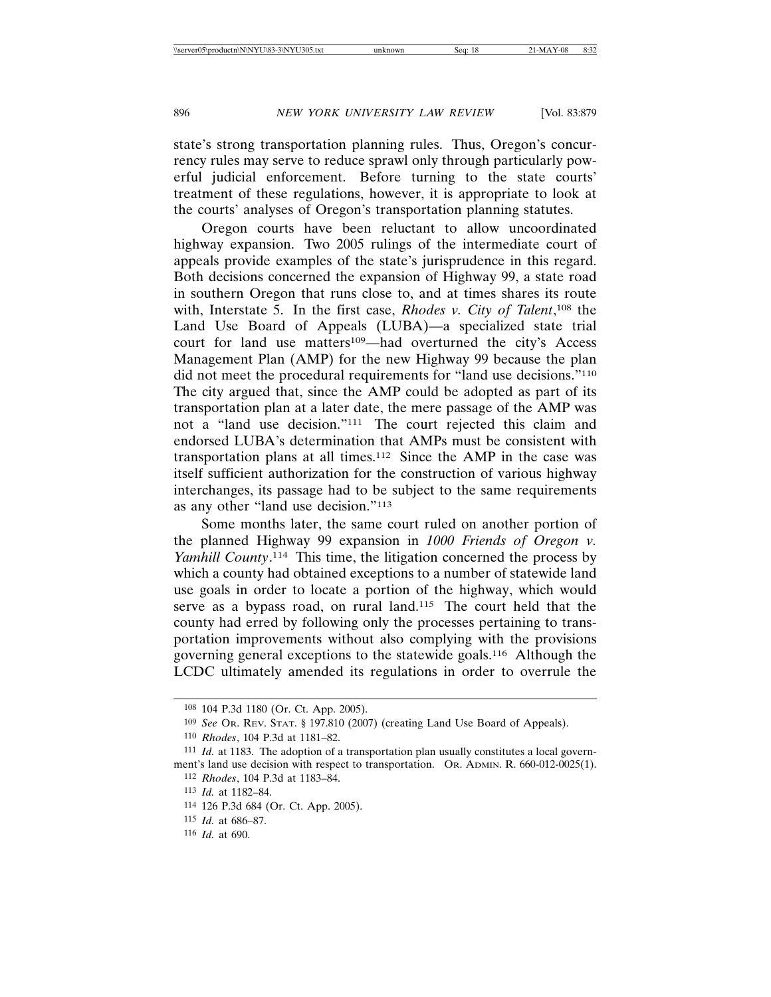state's strong transportation planning rules. Thus, Oregon's concurrency rules may serve to reduce sprawl only through particularly powerful judicial enforcement. Before turning to the state courts' treatment of these regulations, however, it is appropriate to look at the courts' analyses of Oregon's transportation planning statutes.

Oregon courts have been reluctant to allow uncoordinated highway expansion. Two 2005 rulings of the intermediate court of appeals provide examples of the state's jurisprudence in this regard. Both decisions concerned the expansion of Highway 99, a state road in southern Oregon that runs close to, and at times shares its route with, Interstate 5. In the first case, *Rhodes v. City of Talent*, 108 the Land Use Board of Appeals (LUBA)—a specialized state trial court for land use matters<sup>109</sup>—had overturned the city's Access Management Plan (AMP) for the new Highway 99 because the plan did not meet the procedural requirements for "land use decisions."<sup>110</sup> The city argued that, since the AMP could be adopted as part of its transportation plan at a later date, the mere passage of the AMP was not a "land use decision."111 The court rejected this claim and endorsed LUBA's determination that AMPs must be consistent with transportation plans at all times.112 Since the AMP in the case was itself sufficient authorization for the construction of various highway interchanges, its passage had to be subject to the same requirements as any other "land use decision."113

Some months later, the same court ruled on another portion of the planned Highway 99 expansion in *1000 Friends of Oregon v. Yamhill County*. 114 This time, the litigation concerned the process by which a county had obtained exceptions to a number of statewide land use goals in order to locate a portion of the highway, which would serve as a bypass road, on rural land.<sup>115</sup> The court held that the county had erred by following only the processes pertaining to transportation improvements without also complying with the provisions governing general exceptions to the statewide goals.116 Although the LCDC ultimately amended its regulations in order to overrule the

<sup>108</sup> 104 P.3d 1180 (Or. Ct. App. 2005).

<sup>109</sup> *See* OR. REV. STAT. § 197.810 (2007) (creating Land Use Board of Appeals).

<sup>110</sup> *Rhodes*, 104 P.3d at 1181–82.

<sup>111</sup> *Id.* at 1183. The adoption of a transportation plan usually constitutes a local government's land use decision with respect to transportation. OR. ADMIN. R. 660-012-0025(1). 112 *Rhodes*, 104 P.3d at 1183–84.

<sup>113</sup> *Id.* at 1182–84.

<sup>114</sup> 126 P.3d 684 (Or. Ct. App. 2005).

<sup>115</sup> *Id.* at 686–87.

<sup>116</sup> *Id.* at 690.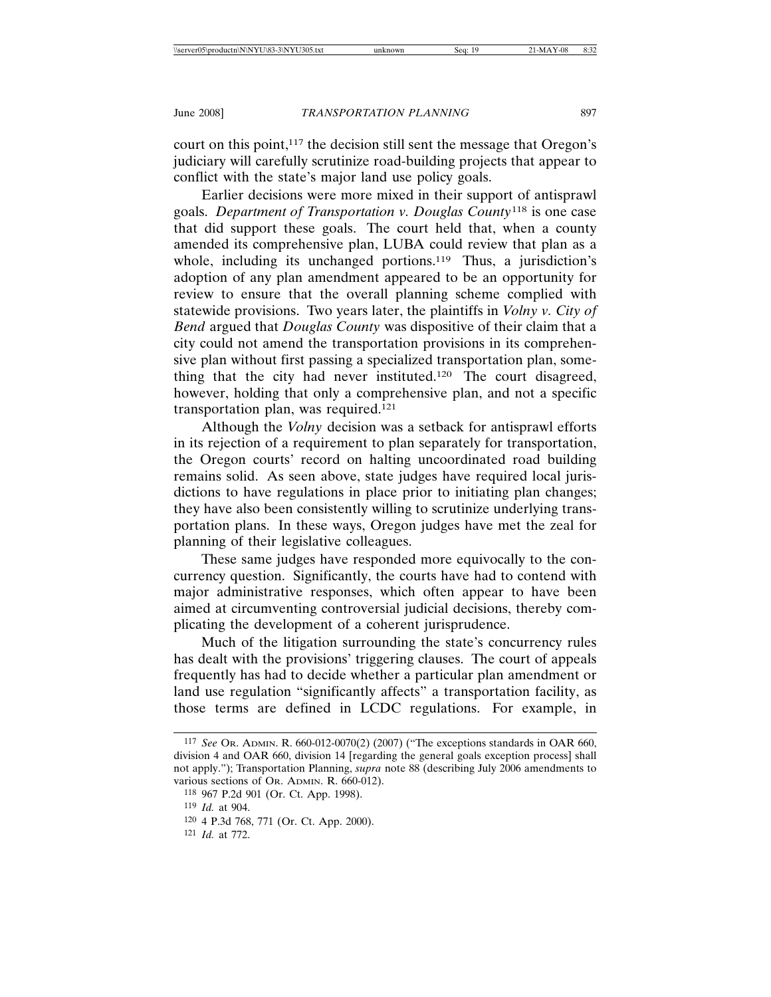court on this point,<sup>117</sup> the decision still sent the message that Oregon's judiciary will carefully scrutinize road-building projects that appear to conflict with the state's major land use policy goals.

Earlier decisions were more mixed in their support of antisprawl goals. *Department of Transportation v. Douglas County*118 is one case that did support these goals. The court held that, when a county amended its comprehensive plan, LUBA could review that plan as a whole, including its unchanged portions.<sup>119</sup> Thus, a jurisdiction's adoption of any plan amendment appeared to be an opportunity for review to ensure that the overall planning scheme complied with statewide provisions. Two years later, the plaintiffs in *Volny v. City of Bend* argued that *Douglas County* was dispositive of their claim that a city could not amend the transportation provisions in its comprehensive plan without first passing a specialized transportation plan, something that the city had never instituted.120 The court disagreed, however, holding that only a comprehensive plan, and not a specific transportation plan, was required.121

Although the *Volny* decision was a setback for antisprawl efforts in its rejection of a requirement to plan separately for transportation, the Oregon courts' record on halting uncoordinated road building remains solid. As seen above, state judges have required local jurisdictions to have regulations in place prior to initiating plan changes; they have also been consistently willing to scrutinize underlying transportation plans. In these ways, Oregon judges have met the zeal for planning of their legislative colleagues.

These same judges have responded more equivocally to the concurrency question. Significantly, the courts have had to contend with major administrative responses, which often appear to have been aimed at circumventing controversial judicial decisions, thereby complicating the development of a coherent jurisprudence.

Much of the litigation surrounding the state's concurrency rules has dealt with the provisions' triggering clauses. The court of appeals frequently has had to decide whether a particular plan amendment or land use regulation "significantly affects" a transportation facility, as those terms are defined in LCDC regulations. For example, in

<sup>117</sup> *See* OR. ADMIN. R. 660-012-0070(2) (2007) ("The exceptions standards in OAR 660, division 4 and OAR 660, division 14 [regarding the general goals exception process] shall not apply."); Transportation Planning, *supra* note 88 (describing July 2006 amendments to various sections of OR. ADMIN. R. 660-012).

<sup>118</sup> 967 P.2d 901 (Or. Ct. App. 1998).

<sup>119</sup> *Id.* at 904.

<sup>120</sup> 4 P.3d 768, 771 (Or. Ct. App. 2000).

<sup>121</sup> *Id.* at 772.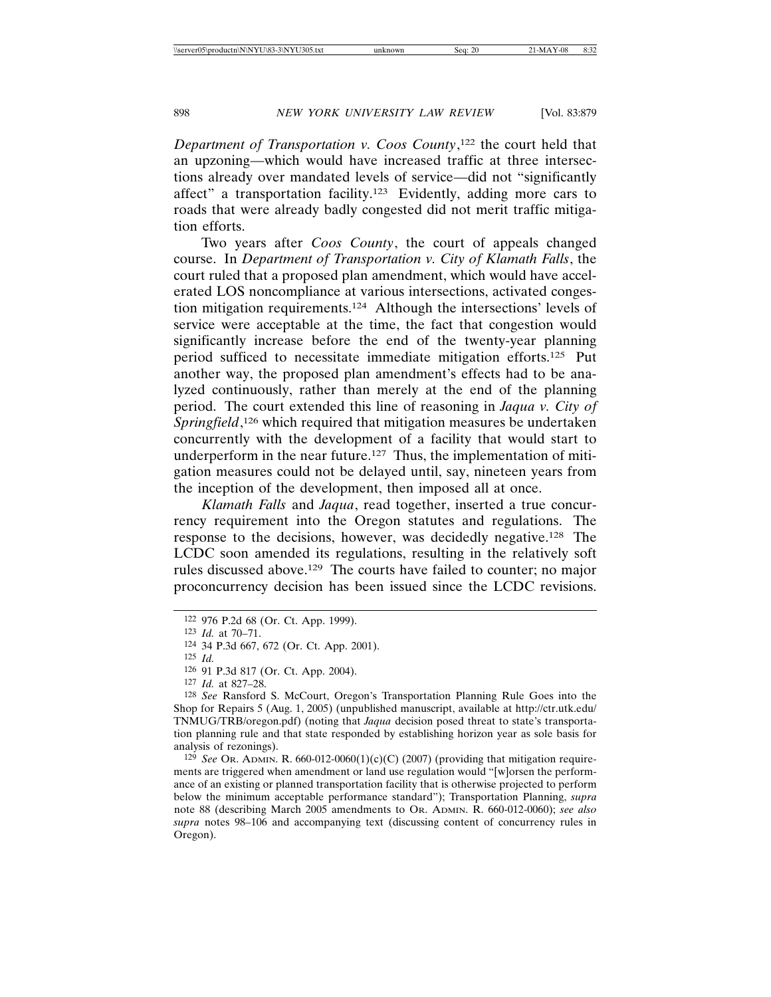*Department of Transportation v. Coos County*, 122 the court held that an upzoning—which would have increased traffic at three intersections already over mandated levels of service—did not "significantly affect" a transportation facility.123 Evidently, adding more cars to roads that were already badly congested did not merit traffic mitigation efforts.

Two years after *Coos County*, the court of appeals changed course. In *Department of Transportation v. City of Klamath Falls*, the court ruled that a proposed plan amendment, which would have accelerated LOS noncompliance at various intersections, activated congestion mitigation requirements.124 Although the intersections' levels of service were acceptable at the time, the fact that congestion would significantly increase before the end of the twenty-year planning period sufficed to necessitate immediate mitigation efforts.125 Put another way, the proposed plan amendment's effects had to be analyzed continuously, rather than merely at the end of the planning period. The court extended this line of reasoning in *Jaqua v. City of* Springfield,<sup>126</sup> which required that mitigation measures be undertaken concurrently with the development of a facility that would start to underperform in the near future.<sup>127</sup> Thus, the implementation of mitigation measures could not be delayed until, say, nineteen years from the inception of the development, then imposed all at once.

*Klamath Falls* and *Jaqua*, read together, inserted a true concurrency requirement into the Oregon statutes and regulations. The response to the decisions, however, was decidedly negative.128 The LCDC soon amended its regulations, resulting in the relatively soft rules discussed above.129 The courts have failed to counter; no major proconcurrency decision has been issued since the LCDC revisions.

127 *Id.* at 827–28.

129 *See* OR. ADMIN. R. 660-012-0060(1)(c)(C) (2007) (providing that mitigation requirements are triggered when amendment or land use regulation would "[w]orsen the performance of an existing or planned transportation facility that is otherwise projected to perform below the minimum acceptable performance standard"); Transportation Planning, *supra* note 88 (describing March 2005 amendments to OR. ADMIN. R. 660-012-0060); *see also supra* notes 98–106 and accompanying text (discussing content of concurrency rules in Oregon).

<sup>122</sup> 976 P.2d 68 (Or. Ct. App. 1999).

<sup>123</sup> *Id.* at 70–71.

<sup>124</sup> 34 P.3d 667, 672 (Or. Ct. App. 2001).

<sup>125</sup> *Id.*

<sup>126</sup> 91 P.3d 817 (Or. Ct. App. 2004).

<sup>128</sup> *See* Ransford S. McCourt, Oregon's Transportation Planning Rule Goes into the Shop for Repairs 5 (Aug. 1, 2005) (unpublished manuscript, available at http://ctr.utk.edu/ TNMUG/TRB/oregon.pdf) (noting that *Jaqua* decision posed threat to state's transportation planning rule and that state responded by establishing horizon year as sole basis for analysis of rezonings).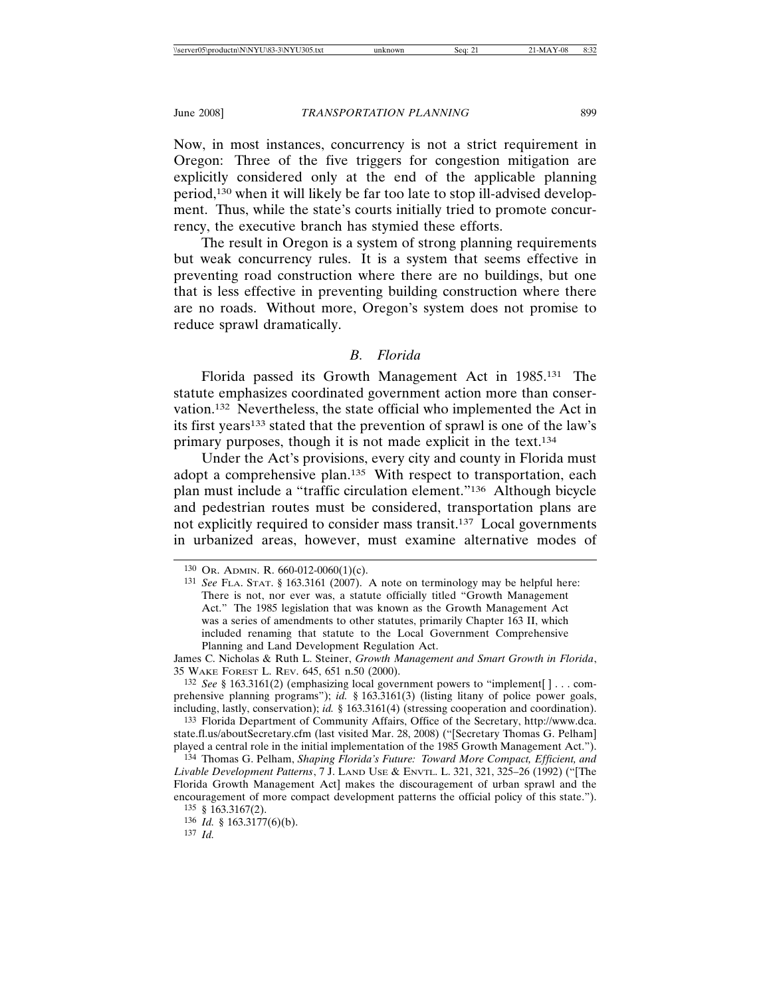Now, in most instances, concurrency is not a strict requirement in Oregon: Three of the five triggers for congestion mitigation are explicitly considered only at the end of the applicable planning period,130 when it will likely be far too late to stop ill-advised development. Thus, while the state's courts initially tried to promote concurrency, the executive branch has stymied these efforts.

The result in Oregon is a system of strong planning requirements but weak concurrency rules. It is a system that seems effective in preventing road construction where there are no buildings, but one that is less effective in preventing building construction where there are no roads. Without more, Oregon's system does not promise to reduce sprawl dramatically.

### *B. Florida*

Florida passed its Growth Management Act in 1985.131 The statute emphasizes coordinated government action more than conservation.132 Nevertheless, the state official who implemented the Act in its first years133 stated that the prevention of sprawl is one of the law's primary purposes, though it is not made explicit in the text.134

Under the Act's provisions, every city and county in Florida must adopt a comprehensive plan.135 With respect to transportation, each plan must include a "traffic circulation element."136 Although bicycle and pedestrian routes must be considered, transportation plans are not explicitly required to consider mass transit.<sup>137</sup> Local governments in urbanized areas, however, must examine alternative modes of

132 *See* § 163.3161(2) (emphasizing local government powers to "implement[ ] . . . comprehensive planning programs"); *id.* § 163.3161(3) (listing litany of police power goals, including, lastly, conservation); *id.* § 163.3161(4) (stressing cooperation and coordination).

133 Florida Department of Community Affairs, Office of the Secretary, http://www.dca. state.fl.us/aboutSecretary.cfm (last visited Mar. 28, 2008) ("[Secretary Thomas G. Pelham] played a central role in the initial implementation of the 1985 Growth Management Act.").

134 Thomas G. Pelham, *Shaping Florida's Future: Toward More Compact, Efficient, and Livable Development Patterns*, 7 J. LAND USE & ENVTL. L. 321, 321, 325–26 (1992) ("[The Florida Growth Management Act] makes the discouragement of urban sprawl and the encouragement of more compact development patterns the official policy of this state.").

137 *Id.* 

<sup>130</sup> OR. ADMIN. R. 660-012-0060(1)(c).

<sup>131</sup> *See* FLA. STAT. § 163.3161 (2007). A note on terminology may be helpful here: There is not, nor ever was, a statute officially titled "Growth Management Act." The 1985 legislation that was known as the Growth Management Act was a series of amendments to other statutes, primarily Chapter 163 II, which included renaming that statute to the Local Government Comprehensive Planning and Land Development Regulation Act.

James C. Nicholas & Ruth L. Steiner, *Growth Management and Smart Growth in Florida*, 35 WAKE FOREST L. REV. 645, 651 n.50 (2000).

<sup>135</sup> § 163.3167(2).

<sup>136</sup> *Id.* § 163.3177(6)(b).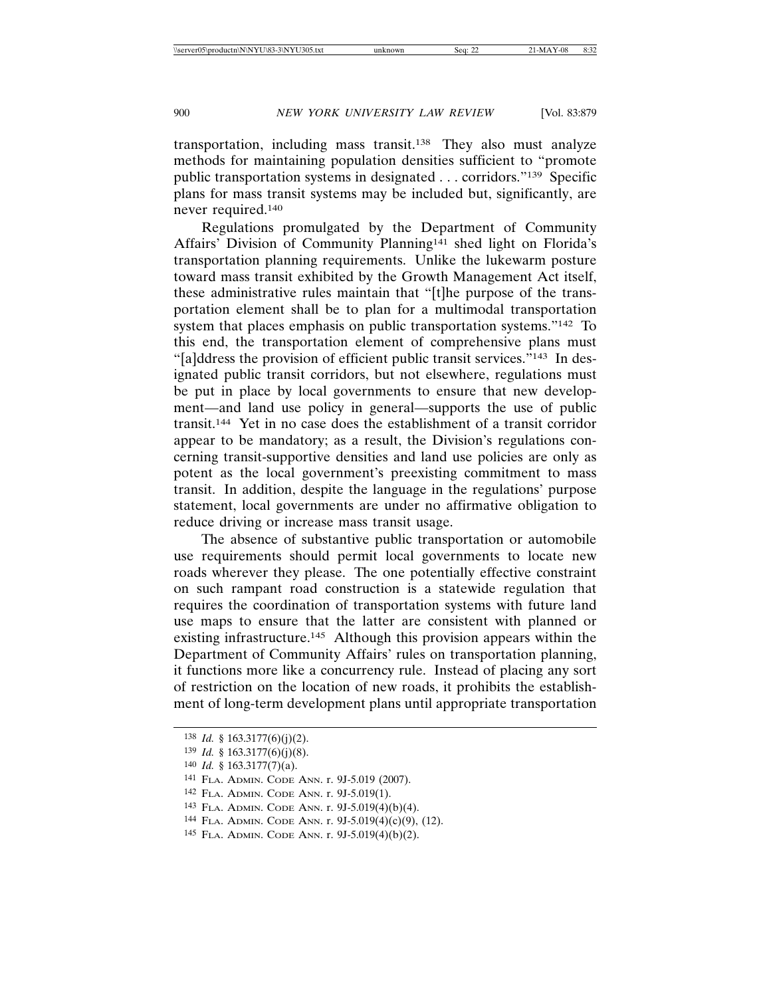transportation, including mass transit.138 They also must analyze methods for maintaining population densities sufficient to "promote public transportation systems in designated . . . corridors."139 Specific plans for mass transit systems may be included but, significantly, are never required.140

Regulations promulgated by the Department of Community Affairs' Division of Community Planning141 shed light on Florida's transportation planning requirements. Unlike the lukewarm posture toward mass transit exhibited by the Growth Management Act itself, these administrative rules maintain that "[t]he purpose of the transportation element shall be to plan for a multimodal transportation system that places emphasis on public transportation systems."<sup>142</sup> To this end, the transportation element of comprehensive plans must "[a]ddress the provision of efficient public transit services."143 In designated public transit corridors, but not elsewhere, regulations must be put in place by local governments to ensure that new development—and land use policy in general—supports the use of public transit.144 Yet in no case does the establishment of a transit corridor appear to be mandatory; as a result, the Division's regulations concerning transit-supportive densities and land use policies are only as potent as the local government's preexisting commitment to mass transit. In addition, despite the language in the regulations' purpose statement, local governments are under no affirmative obligation to reduce driving or increase mass transit usage.

The absence of substantive public transportation or automobile use requirements should permit local governments to locate new roads wherever they please. The one potentially effective constraint on such rampant road construction is a statewide regulation that requires the coordination of transportation systems with future land use maps to ensure that the latter are consistent with planned or existing infrastructure.<sup>145</sup> Although this provision appears within the Department of Community Affairs' rules on transportation planning, it functions more like a concurrency rule. Instead of placing any sort of restriction on the location of new roads, it prohibits the establishment of long-term development plans until appropriate transportation

<sup>138</sup> *Id.* § 163.3177(6)(j)(2).

<sup>139</sup> *Id.* § 163.3177(6)(j)(8).

<sup>140</sup> *Id.* § 163.3177(7)(a).

<sup>141</sup> FLA. ADMIN. CODE ANN. r. 9J-5.019 (2007).

<sup>142</sup> FLA. ADMIN. CODE ANN. r. 9J-5.019(1).

<sup>143</sup> FLA. ADMIN. CODE ANN. r. 9J-5.019(4)(b)(4).

<sup>144</sup> FLA. ADMIN. CODE ANN. r. 9J-5.019(4)(c)(9), (12).

<sup>145</sup> FLA. ADMIN. CODE ANN. r. 9J-5.019(4)(b)(2).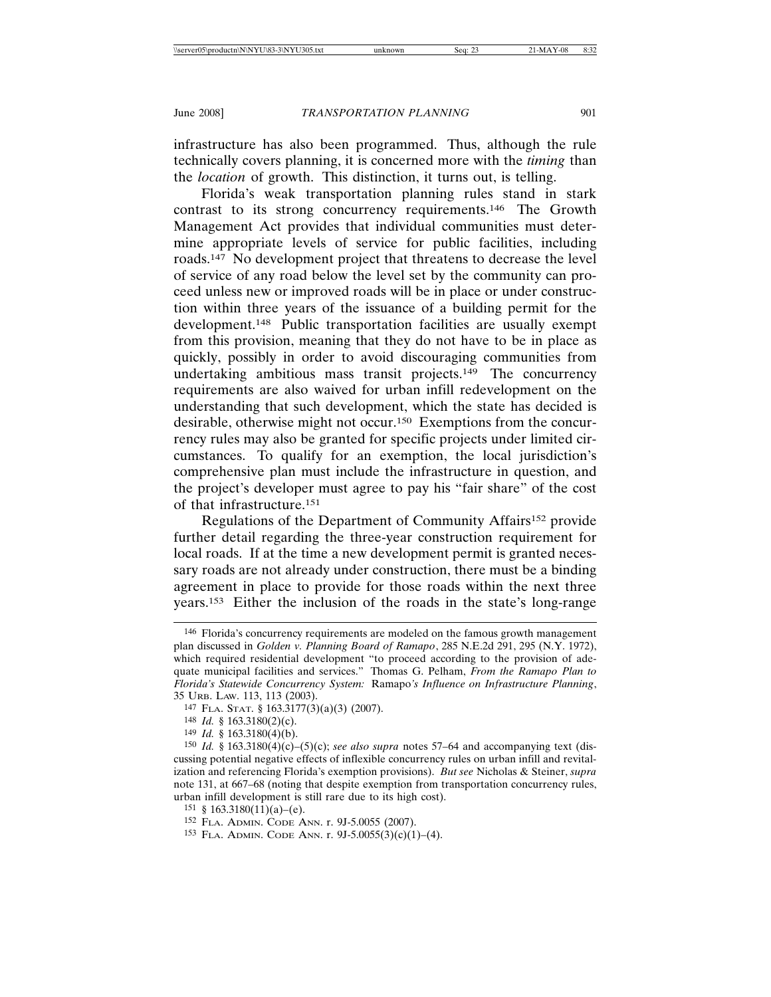infrastructure has also been programmed. Thus, although the rule technically covers planning, it is concerned more with the *timing* than the *location* of growth. This distinction, it turns out, is telling.

Florida's weak transportation planning rules stand in stark contrast to its strong concurrency requirements.146 The Growth Management Act provides that individual communities must determine appropriate levels of service for public facilities, including roads.147 No development project that threatens to decrease the level of service of any road below the level set by the community can proceed unless new or improved roads will be in place or under construction within three years of the issuance of a building permit for the development.148 Public transportation facilities are usually exempt from this provision, meaning that they do not have to be in place as quickly, possibly in order to avoid discouraging communities from undertaking ambitious mass transit projects.149 The concurrency requirements are also waived for urban infill redevelopment on the understanding that such development, which the state has decided is desirable, otherwise might not occur.150 Exemptions from the concurrency rules may also be granted for specific projects under limited circumstances. To qualify for an exemption, the local jurisdiction's comprehensive plan must include the infrastructure in question, and the project's developer must agree to pay his "fair share" of the cost of that infrastructure.151

Regulations of the Department of Community Affairs152 provide further detail regarding the three-year construction requirement for local roads. If at the time a new development permit is granted necessary roads are not already under construction, there must be a binding agreement in place to provide for those roads within the next three years.153 Either the inclusion of the roads in the state's long-range

<sup>146</sup> Florida's concurrency requirements are modeled on the famous growth management plan discussed in *Golden v. Planning Board of Ramapo*, 285 N.E.2d 291, 295 (N.Y. 1972), which required residential development "to proceed according to the provision of adequate municipal facilities and services." Thomas G. Pelham, *From the Ramapo Plan to Florida's Statewide Concurrency System:* Ramapo*'s Influence on Infrastructure Planning*, 35 URB. LAW. 113, 113 (2003).

<sup>147</sup> FLA. STAT. § 163.3177(3)(a)(3) (2007).

<sup>148</sup> *Id.* § 163.3180(2)(c).

<sup>149</sup> *Id.* § 163.3180(4)(b).

<sup>150</sup> *Id.* § 163.3180(4)(c)–(5)(c); *see also supra* notes 57–64 and accompanying text (discussing potential negative effects of inflexible concurrency rules on urban infill and revitalization and referencing Florida's exemption provisions). *But see* Nicholas & Steiner, *supra* note 131, at 667–68 (noting that despite exemption from transportation concurrency rules, urban infill development is still rare due to its high cost).

<sup>151 § 163.3180(11)(</sup>a)–(e).

<sup>152</sup> FLA. ADMIN. CODE ANN. r. 9J-5.0055 (2007).

<sup>153</sup> FLA. ADMIN. CODE ANN. r. 9J-5.0055(3)(c)(1)–(4).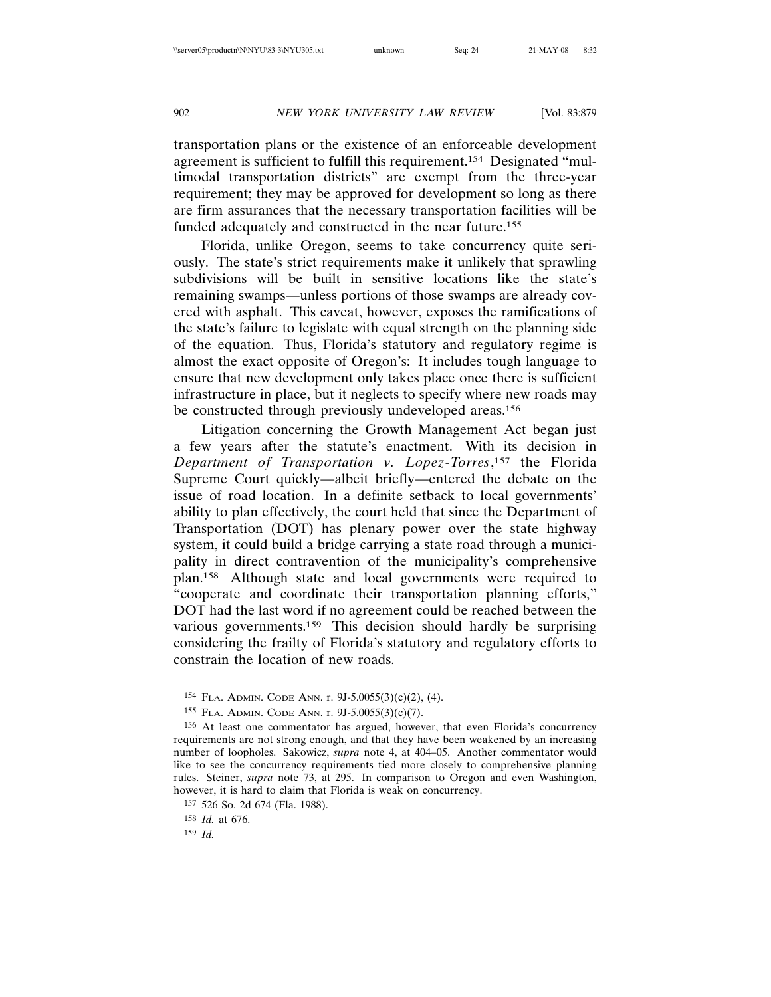transportation plans or the existence of an enforceable development agreement is sufficient to fulfill this requirement.154 Designated "multimodal transportation districts" are exempt from the three-year requirement; they may be approved for development so long as there are firm assurances that the necessary transportation facilities will be funded adequately and constructed in the near future.155

Florida, unlike Oregon, seems to take concurrency quite seriously. The state's strict requirements make it unlikely that sprawling subdivisions will be built in sensitive locations like the state's remaining swamps—unless portions of those swamps are already covered with asphalt. This caveat, however, exposes the ramifications of the state's failure to legislate with equal strength on the planning side of the equation. Thus, Florida's statutory and regulatory regime is almost the exact opposite of Oregon's: It includes tough language to ensure that new development only takes place once there is sufficient infrastructure in place, but it neglects to specify where new roads may be constructed through previously undeveloped areas.156

Litigation concerning the Growth Management Act began just a few years after the statute's enactment. With its decision in *Department of Transportation v. Lopez-Torres*,157 the Florida Supreme Court quickly—albeit briefly—entered the debate on the issue of road location. In a definite setback to local governments' ability to plan effectively, the court held that since the Department of Transportation (DOT) has plenary power over the state highway system, it could build a bridge carrying a state road through a municipality in direct contravention of the municipality's comprehensive plan.158 Although state and local governments were required to "cooperate and coordinate their transportation planning efforts," DOT had the last word if no agreement could be reached between the various governments.159 This decision should hardly be surprising considering the frailty of Florida's statutory and regulatory efforts to constrain the location of new roads.

159 *Id.*

<sup>154</sup> FLA. ADMIN. CODE ANN. r. 9J-5.0055(3)(c)(2), (4).

<sup>155</sup> FLA. ADMIN. CODE ANN. r. 9J-5.0055(3)(c)(7).

<sup>156</sup> At least one commentator has argued, however, that even Florida's concurrency requirements are not strong enough, and that they have been weakened by an increasing number of loopholes. Sakowicz, *supra* note 4, at 404–05. Another commentator would like to see the concurrency requirements tied more closely to comprehensive planning rules. Steiner, *supra* note 73, at 295. In comparison to Oregon and even Washington, however, it is hard to claim that Florida is weak on concurrency.

<sup>157</sup> 526 So. 2d 674 (Fla. 1988).

<sup>158</sup> *Id.* at 676.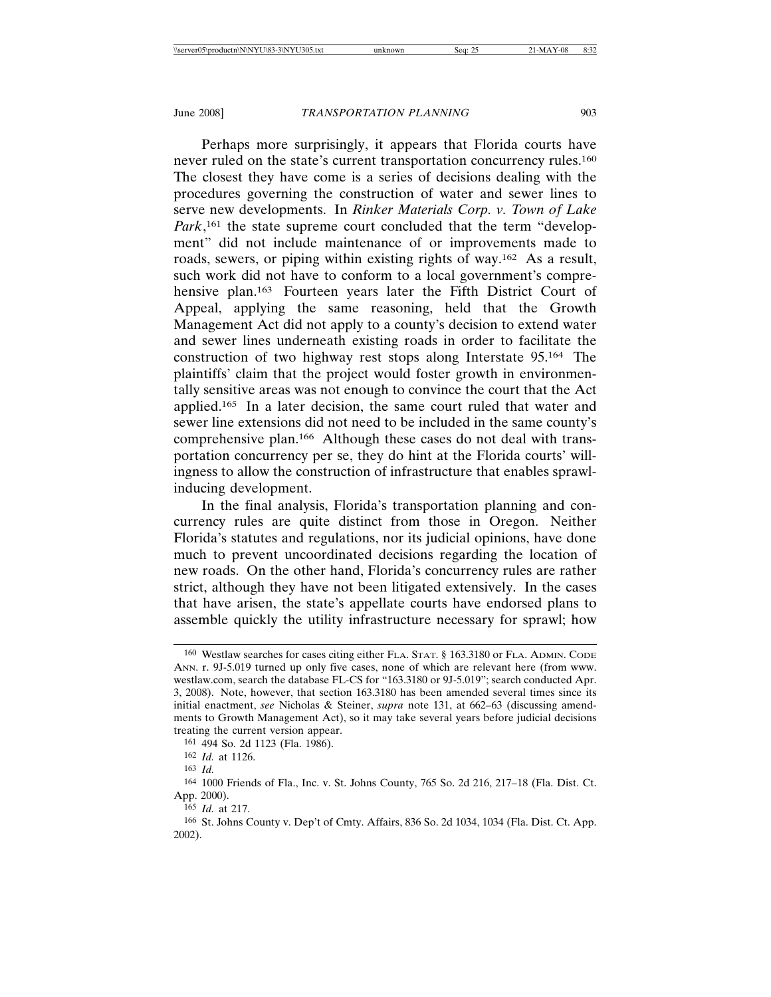Perhaps more surprisingly, it appears that Florida courts have never ruled on the state's current transportation concurrency rules.<sup>160</sup> The closest they have come is a series of decisions dealing with the procedures governing the construction of water and sewer lines to serve new developments. In *Rinker Materials Corp. v. Town of Lake* Park,<sup>161</sup> the state supreme court concluded that the term "development" did not include maintenance of or improvements made to roads, sewers, or piping within existing rights of way.162 As a result, such work did not have to conform to a local government's comprehensive plan.<sup>163</sup> Fourteen years later the Fifth District Court of Appeal, applying the same reasoning, held that the Growth Management Act did not apply to a county's decision to extend water and sewer lines underneath existing roads in order to facilitate the construction of two highway rest stops along Interstate 95.164 The plaintiffs' claim that the project would foster growth in environmentally sensitive areas was not enough to convince the court that the Act applied.165 In a later decision, the same court ruled that water and sewer line extensions did not need to be included in the same county's comprehensive plan.166 Although these cases do not deal with transportation concurrency per se, they do hint at the Florida courts' willingness to allow the construction of infrastructure that enables sprawlinducing development.

In the final analysis, Florida's transportation planning and concurrency rules are quite distinct from those in Oregon. Neither Florida's statutes and regulations, nor its judicial opinions, have done much to prevent uncoordinated decisions regarding the location of new roads. On the other hand, Florida's concurrency rules are rather strict, although they have not been litigated extensively. In the cases that have arisen, the state's appellate courts have endorsed plans to assemble quickly the utility infrastructure necessary for sprawl; how

<sup>160</sup> Westlaw searches for cases citing either FLA. STAT. § 163.3180 or FLA. ADMIN. CODE ANN. r. 9J-5.019 turned up only five cases, none of which are relevant here (from www. westlaw.com, search the database FL-CS for "163.3180 or 9J-5.019"; search conducted Apr. 3, 2008). Note, however, that section 163.3180 has been amended several times since its initial enactment, *see* Nicholas & Steiner, *supra* note 131, at 662–63 (discussing amendments to Growth Management Act), so it may take several years before judicial decisions treating the current version appear.

<sup>161</sup> 494 So. 2d 1123 (Fla. 1986).

<sup>162</sup> *Id.* at 1126.

<sup>163</sup> *Id.*

<sup>164</sup> 1000 Friends of Fla., Inc. v. St. Johns County, 765 So. 2d 216, 217–18 (Fla. Dist. Ct. App. 2000).

<sup>165</sup> *Id.* at 217.

<sup>166</sup> St. Johns County v. Dep't of Cmty. Affairs, 836 So. 2d 1034, 1034 (Fla. Dist. Ct. App. 2002).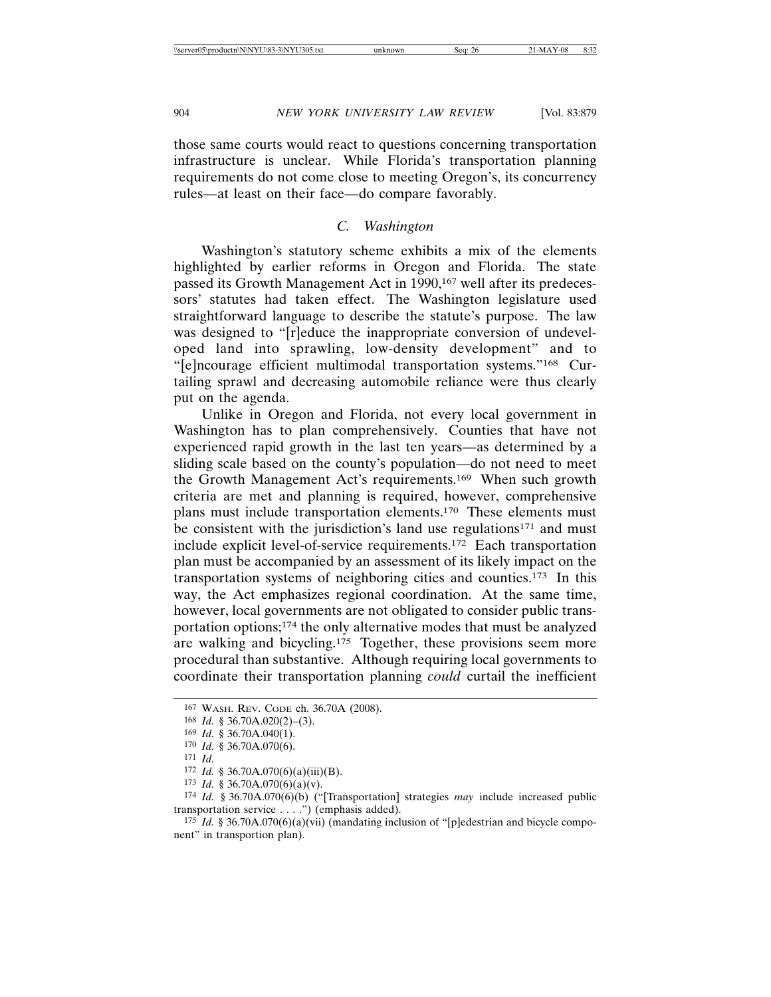those same courts would react to questions concerning transportation infrastructure is unclear. While Florida's transportation planning requirements do not come close to meeting Oregon's, its concurrency rules—at least on their face—do compare favorably.

# *C. Washington*

Washington's statutory scheme exhibits a mix of the elements highlighted by earlier reforms in Oregon and Florida. The state passed its Growth Management Act in 1990,<sup>167</sup> well after its predecessors' statutes had taken effect. The Washington legislature used straightforward language to describe the statute's purpose. The law was designed to "[r]educe the inappropriate conversion of undeveloped land into sprawling, low-density development" and to "[e]ncourage efficient multimodal transportation systems."168 Curtailing sprawl and decreasing automobile reliance were thus clearly put on the agenda.

Unlike in Oregon and Florida, not every local government in Washington has to plan comprehensively. Counties that have not experienced rapid growth in the last ten years—as determined by a sliding scale based on the county's population—do not need to meet the Growth Management Act's requirements.169 When such growth criteria are met and planning is required, however, comprehensive plans must include transportation elements.170 These elements must be consistent with the jurisdiction's land use regulations<sup>171</sup> and must include explicit level-of-service requirements.172 Each transportation plan must be accompanied by an assessment of its likely impact on the transportation systems of neighboring cities and counties.173 In this way, the Act emphasizes regional coordination. At the same time, however, local governments are not obligated to consider public transportation options;174 the only alternative modes that must be analyzed are walking and bicycling.175 Together, these provisions seem more procedural than substantive. Although requiring local governments to coordinate their transportation planning *could* curtail the inefficient

<sup>167</sup> WASH. REV. CODE ch. 36.70A (2008).

<sup>168</sup> *Id.* § 36.70A.020(2)–(3).

<sup>169</sup> *Id.* § 36.70A.040(1).

<sup>170</sup> *Id.* § 36.70A.070(6).

<sup>171</sup> *Id.*

 $172$  *Id.* § 36.70A.070(6)(a)(iii)(B).

<sup>173</sup> *Id.* § 36.70A.070(6)(a)(v).

<sup>174</sup> *Id.* § 36.70A.070(6)(b) ("[Transportation] strategies *may* include increased public transportation service . . . .") (emphasis added).

<sup>&</sup>lt;sup>175</sup> *Id.* § 36.70A.070(6)(a)(vii) (mandating inclusion of "[p]edestrian and bicycle component" in transportion plan).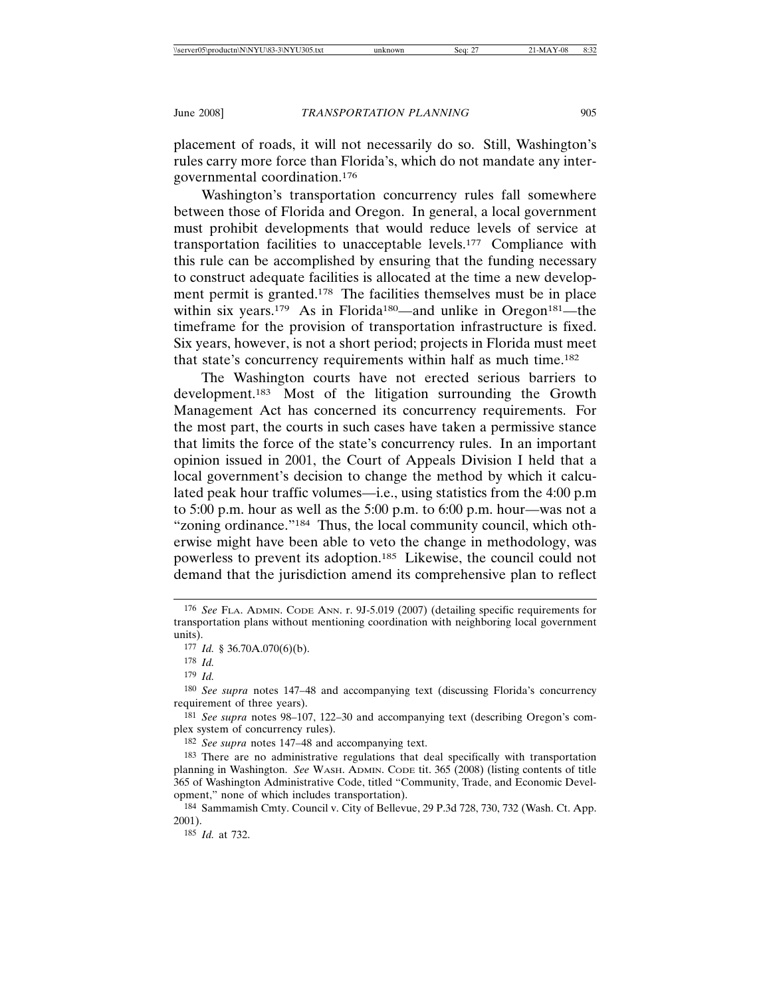placement of roads, it will not necessarily do so. Still, Washington's rules carry more force than Florida's, which do not mandate any intergovernmental coordination.176

Washington's transportation concurrency rules fall somewhere between those of Florida and Oregon. In general, a local government must prohibit developments that would reduce levels of service at transportation facilities to unacceptable levels.177 Compliance with this rule can be accomplished by ensuring that the funding necessary to construct adequate facilities is allocated at the time a new development permit is granted.178 The facilities themselves must be in place within six years.<sup>179</sup> As in Florida<sup>180</sup>—and unlike in Oregon<sup>181</sup>—the timeframe for the provision of transportation infrastructure is fixed. Six years, however, is not a short period; projects in Florida must meet that state's concurrency requirements within half as much time.182

The Washington courts have not erected serious barriers to development.183 Most of the litigation surrounding the Growth Management Act has concerned its concurrency requirements. For the most part, the courts in such cases have taken a permissive stance that limits the force of the state's concurrency rules. In an important opinion issued in 2001, the Court of Appeals Division I held that a local government's decision to change the method by which it calculated peak hour traffic volumes—i.e., using statistics from the 4:00 p.m to 5:00 p.m. hour as well as the 5:00 p.m. to 6:00 p.m. hour—was not a "zoning ordinance."<sup>184</sup> Thus, the local community council, which otherwise might have been able to veto the change in methodology, was powerless to prevent its adoption.185 Likewise, the council could not demand that the jurisdiction amend its comprehensive plan to reflect

<sup>176</sup> *See* FLA. ADMIN. CODE ANN. r. 9J-5.019 (2007) (detailing specific requirements for transportation plans without mentioning coordination with neighboring local government units).

<sup>177</sup> *Id.* § 36.70A.070(6)(b).

<sup>178</sup> *Id.*

<sup>179</sup> *Id.*

<sup>180</sup> *See supra* notes 147–48 and accompanying text (discussing Florida's concurrency requirement of three years).

<sup>181</sup> *See supra* notes 98–107, 122–30 and accompanying text (describing Oregon's complex system of concurrency rules).

<sup>182</sup> *See supra* notes 147–48 and accompanying text.

<sup>183</sup> There are no administrative regulations that deal specifically with transportation planning in Washington. *See* WASH. ADMIN. CODE tit. 365 (2008) (listing contents of title 365 of Washington Administrative Code, titled "Community, Trade, and Economic Development," none of which includes transportation).

<sup>184</sup> Sammamish Cmty. Council v. City of Bellevue, 29 P.3d 728, 730, 732 (Wash. Ct. App. 2001).

<sup>185</sup> *Id.* at 732.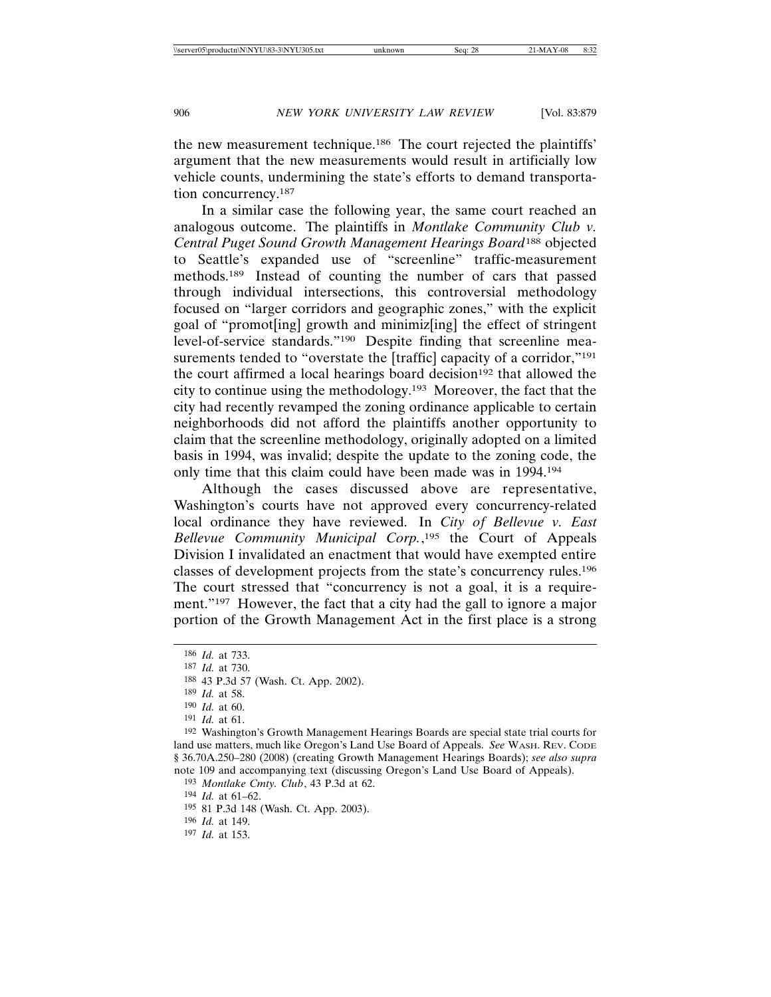the new measurement technique.186 The court rejected the plaintiffs' argument that the new measurements would result in artificially low vehicle counts, undermining the state's efforts to demand transportation concurrency.187

In a similar case the following year, the same court reached an analogous outcome. The plaintiffs in *Montlake Community Club v. Central Puget Sound Growth Management Hearings Board*188 objected to Seattle's expanded use of "screenline" traffic-measurement methods.189 Instead of counting the number of cars that passed through individual intersections, this controversial methodology focused on "larger corridors and geographic zones," with the explicit goal of "promot[ing] growth and minimiz[ing] the effect of stringent level-of-service standards."190 Despite finding that screenline measurements tended to "overstate the [traffic] capacity of a corridor,"<sup>191</sup> the court affirmed a local hearings board decision<sup>192</sup> that allowed the city to continue using the methodology.193 Moreover, the fact that the city had recently revamped the zoning ordinance applicable to certain neighborhoods did not afford the plaintiffs another opportunity to claim that the screenline methodology, originally adopted on a limited basis in 1994, was invalid; despite the update to the zoning code, the only time that this claim could have been made was in 1994.194

Although the cases discussed above are representative, Washington's courts have not approved every concurrency-related local ordinance they have reviewed. In *City of Bellevue v. East Bellevue Community Municipal Corp.*, 195 the Court of Appeals Division I invalidated an enactment that would have exempted entire classes of development projects from the state's concurrency rules.196 The court stressed that "concurrency is not a goal, it is a requirement."<sup>197</sup> However, the fact that a city had the gall to ignore a major portion of the Growth Management Act in the first place is a strong

189 *Id.* at 58.

191 *Id.* at 61.

194 *Id.* at 61–62.

195 81 P.3d 148 (Wash. Ct. App. 2003).

196 *Id.* at 149.

<sup>186</sup> *Id.* at 733.

<sup>187</sup> *Id.* at 730.

<sup>188</sup> 43 P.3d 57 (Wash. Ct. App. 2002).

<sup>190</sup> *Id.* at 60.

<sup>192</sup> Washington's Growth Management Hearings Boards are special state trial courts for land use matters, much like Oregon's Land Use Board of Appeals. *See* WASH. REV. CODE § 36.70A.250–280 (2008) (creating Growth Management Hearings Boards); *see also supra* note 109 and accompanying text (discussing Oregon's Land Use Board of Appeals).

<sup>193</sup> *Montlake Cmty. Club*, 43 P.3d at 62.

<sup>197</sup> *Id.* at 153.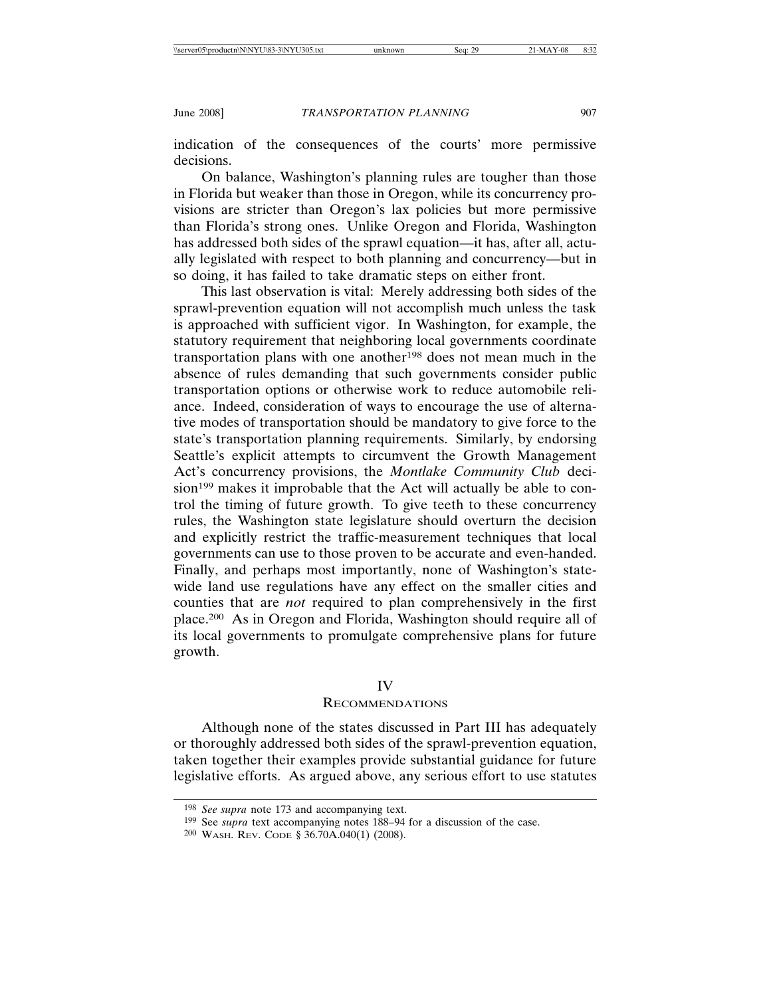indication of the consequences of the courts' more permissive decisions.

On balance, Washington's planning rules are tougher than those in Florida but weaker than those in Oregon, while its concurrency provisions are stricter than Oregon's lax policies but more permissive than Florida's strong ones. Unlike Oregon and Florida, Washington has addressed both sides of the sprawl equation—it has, after all, actually legislated with respect to both planning and concurrency—but in so doing, it has failed to take dramatic steps on either front.

This last observation is vital: Merely addressing both sides of the sprawl-prevention equation will not accomplish much unless the task is approached with sufficient vigor. In Washington, for example, the statutory requirement that neighboring local governments coordinate transportation plans with one another<sup>198</sup> does not mean much in the absence of rules demanding that such governments consider public transportation options or otherwise work to reduce automobile reliance. Indeed, consideration of ways to encourage the use of alternative modes of transportation should be mandatory to give force to the state's transportation planning requirements. Similarly, by endorsing Seattle's explicit attempts to circumvent the Growth Management Act's concurrency provisions, the *Montlake Community Club* decision<sup>199</sup> makes it improbable that the Act will actually be able to control the timing of future growth. To give teeth to these concurrency rules, the Washington state legislature should overturn the decision and explicitly restrict the traffic-measurement techniques that local governments can use to those proven to be accurate and even-handed. Finally, and perhaps most importantly, none of Washington's statewide land use regulations have any effect on the smaller cities and counties that are *not* required to plan comprehensively in the first place.200 As in Oregon and Florida, Washington should require all of its local governments to promulgate comprehensive plans for future growth.

# IV

#### RECOMMENDATIONS

Although none of the states discussed in Part III has adequately or thoroughly addressed both sides of the sprawl-prevention equation, taken together their examples provide substantial guidance for future legislative efforts. As argued above, any serious effort to use statutes

<sup>198</sup> *See supra* note 173 and accompanying text.

<sup>199</sup> See *supra* text accompanying notes 188–94 for a discussion of the case.

<sup>200</sup> WASH. REV. CODE § 36.70A.040(1) (2008).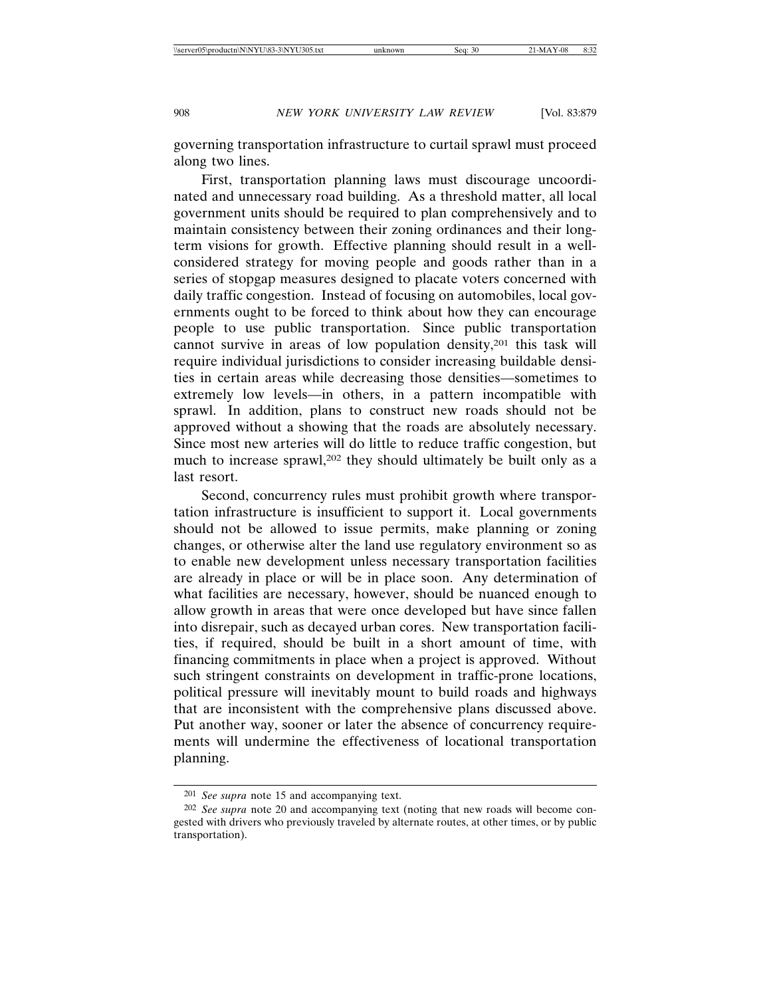governing transportation infrastructure to curtail sprawl must proceed along two lines.

First, transportation planning laws must discourage uncoordinated and unnecessary road building. As a threshold matter, all local government units should be required to plan comprehensively and to maintain consistency between their zoning ordinances and their longterm visions for growth. Effective planning should result in a wellconsidered strategy for moving people and goods rather than in a series of stopgap measures designed to placate voters concerned with daily traffic congestion. Instead of focusing on automobiles, local governments ought to be forced to think about how they can encourage people to use public transportation. Since public transportation cannot survive in areas of low population density,201 this task will require individual jurisdictions to consider increasing buildable densities in certain areas while decreasing those densities—sometimes to extremely low levels—in others, in a pattern incompatible with sprawl. In addition, plans to construct new roads should not be approved without a showing that the roads are absolutely necessary. Since most new arteries will do little to reduce traffic congestion, but much to increase sprawl,202 they should ultimately be built only as a last resort.

Second, concurrency rules must prohibit growth where transportation infrastructure is insufficient to support it. Local governments should not be allowed to issue permits, make planning or zoning changes, or otherwise alter the land use regulatory environment so as to enable new development unless necessary transportation facilities are already in place or will be in place soon. Any determination of what facilities are necessary, however, should be nuanced enough to allow growth in areas that were once developed but have since fallen into disrepair, such as decayed urban cores. New transportation facilities, if required, should be built in a short amount of time, with financing commitments in place when a project is approved. Without such stringent constraints on development in traffic-prone locations, political pressure will inevitably mount to build roads and highways that are inconsistent with the comprehensive plans discussed above. Put another way, sooner or later the absence of concurrency requirements will undermine the effectiveness of locational transportation planning.

<sup>201</sup> *See supra* note 15 and accompanying text.

<sup>202</sup> *See supra* note 20 and accompanying text (noting that new roads will become congested with drivers who previously traveled by alternate routes, at other times, or by public transportation).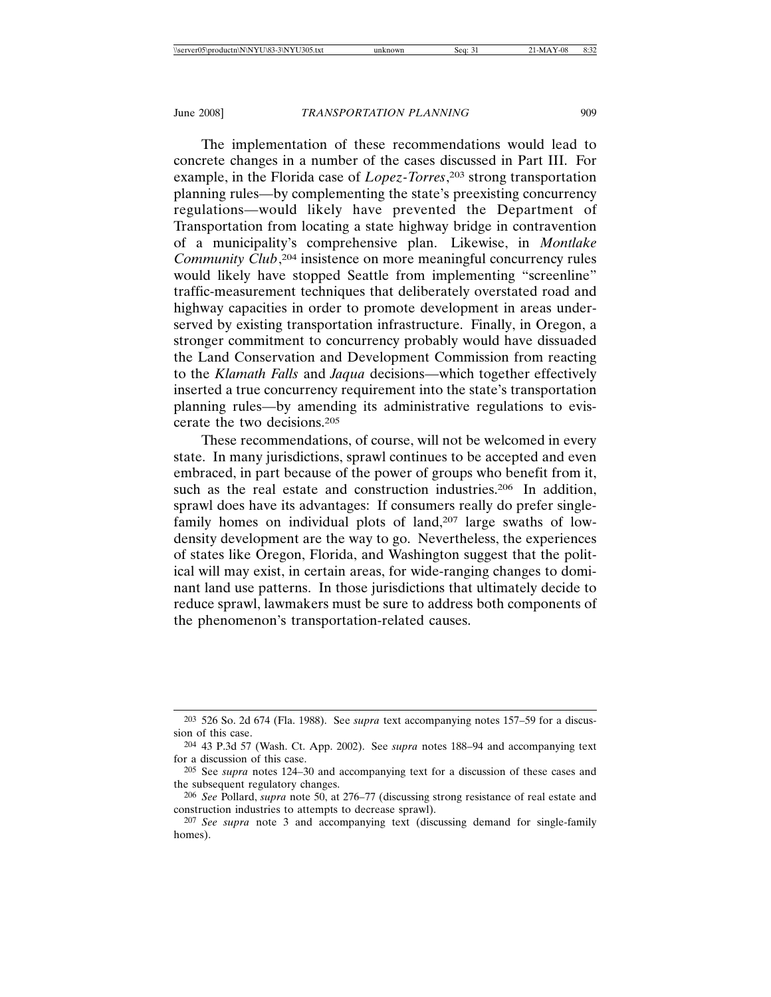The implementation of these recommendations would lead to concrete changes in a number of the cases discussed in Part III. For example, in the Florida case of *Lopez-Torres*, 203 strong transportation planning rules—by complementing the state's preexisting concurrency regulations—would likely have prevented the Department of Transportation from locating a state highway bridge in contravention of a municipality's comprehensive plan. Likewise, in *Montlake Community Club*, 204 insistence on more meaningful concurrency rules would likely have stopped Seattle from implementing "screenline" traffic-measurement techniques that deliberately overstated road and highway capacities in order to promote development in areas underserved by existing transportation infrastructure. Finally, in Oregon, a stronger commitment to concurrency probably would have dissuaded the Land Conservation and Development Commission from reacting to the *Klamath Falls* and *Jaqua* decisions—which together effectively inserted a true concurrency requirement into the state's transportation planning rules—by amending its administrative regulations to eviscerate the two decisions.205

These recommendations, of course, will not be welcomed in every state. In many jurisdictions, sprawl continues to be accepted and even embraced, in part because of the power of groups who benefit from it, such as the real estate and construction industries.<sup>206</sup> In addition, sprawl does have its advantages: If consumers really do prefer singlefamily homes on individual plots of land,<sup>207</sup> large swaths of lowdensity development are the way to go. Nevertheless, the experiences of states like Oregon, Florida, and Washington suggest that the political will may exist, in certain areas, for wide-ranging changes to dominant land use patterns. In those jurisdictions that ultimately decide to reduce sprawl, lawmakers must be sure to address both components of the phenomenon's transportation-related causes.

<sup>203</sup> 526 So. 2d 674 (Fla. 1988). See *supra* text accompanying notes 157–59 for a discussion of this case.

<sup>204</sup> 43 P.3d 57 (Wash. Ct. App. 2002). See *supra* notes 188–94 and accompanying text for a discussion of this case.

<sup>205</sup> See *supra* notes 124–30 and accompanying text for a discussion of these cases and the subsequent regulatory changes.

<sup>206</sup> *See* Pollard, *supra* note 50, at 276–77 (discussing strong resistance of real estate and construction industries to attempts to decrease sprawl).

<sup>207</sup> *See supra* note 3 and accompanying text (discussing demand for single-family homes).